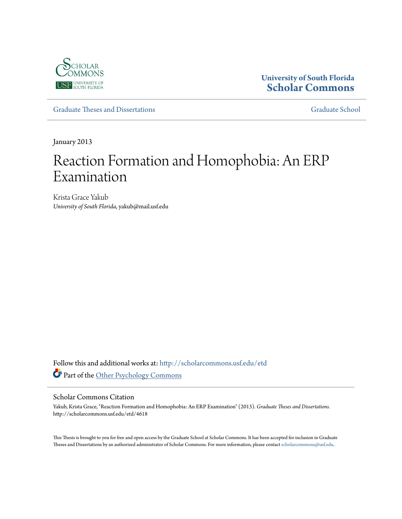

# **University of South Florida [Scholar Commons](http://scholarcommons.usf.edu?utm_source=scholarcommons.usf.edu%2Fetd%2F4618&utm_medium=PDF&utm_campaign=PDFCoverPages)**

[Graduate Theses and Dissertations](http://scholarcommons.usf.edu/etd?utm_source=scholarcommons.usf.edu%2Fetd%2F4618&utm_medium=PDF&utm_campaign=PDFCoverPages) [Graduate School](http://scholarcommons.usf.edu/grad?utm_source=scholarcommons.usf.edu%2Fetd%2F4618&utm_medium=PDF&utm_campaign=PDFCoverPages) Craduate School

January 2013

# Reaction Formation and Homophobia: An ERP Examination

Krista Grace Yakub *University of South Florida*, yakub@mail.usf.edu

Follow this and additional works at: [http://scholarcommons.usf.edu/etd](http://scholarcommons.usf.edu/etd?utm_source=scholarcommons.usf.edu%2Fetd%2F4618&utm_medium=PDF&utm_campaign=PDFCoverPages) Part of the [Other Psychology Commons](http://network.bepress.com/hgg/discipline/415?utm_source=scholarcommons.usf.edu%2Fetd%2F4618&utm_medium=PDF&utm_campaign=PDFCoverPages)

#### Scholar Commons Citation

Yakub, Krista Grace, "Reaction Formation and Homophobia: An ERP Examination" (2013). *Graduate Theses and Dissertations.* http://scholarcommons.usf.edu/etd/4618

This Thesis is brought to you for free and open access by the Graduate School at Scholar Commons. It has been accepted for inclusion in Graduate Theses and Dissertations by an authorized administrator of Scholar Commons. For more information, please contact [scholarcommons@usf.edu.](mailto:scholarcommons@usf.edu)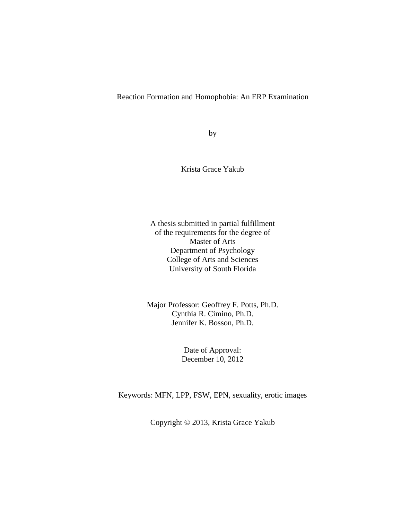# Reaction Formation and Homophobia: An ERP Examination

by

Krista Grace Yakub

A thesis submitted in partial fulfillment of the requirements for the degree of Master of Arts Department of Psychology College of Arts and Sciences University of South Florida

Major Professor: Geoffrey F. Potts, Ph.D. Cynthia R. Cimino, Ph.D. Jennifer K. Bosson, Ph.D.

> Date of Approval: December 10, 2012

Keywords: MFN, LPP, FSW, EPN, sexuality, erotic images

Copyright © 2013, Krista Grace Yakub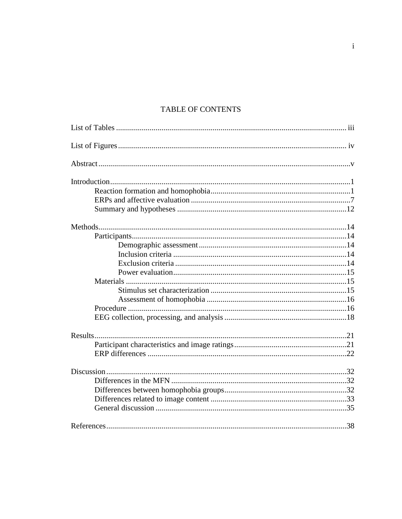# TABLE OF CONTENTS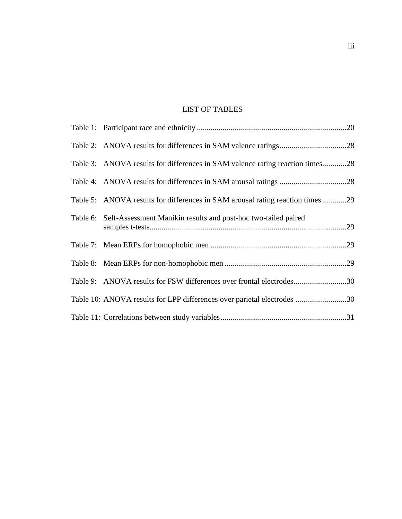# LIST OF TABLES

| Table 3: ANOVA results for differences in SAM valence rating reaction times28  |  |
|--------------------------------------------------------------------------------|--|
|                                                                                |  |
| Table 5: ANOVA results for differences in SAM arousal rating reaction times 29 |  |
| Table 6: Self-Assessment Manikin results and post-hoc two-tailed paired        |  |
|                                                                                |  |
|                                                                                |  |
| Table 9: ANOVA results for FSW differences over frontal electrodes30           |  |
| Table 10: ANOVA results for LPP differences over parietal electrodes 30        |  |
|                                                                                |  |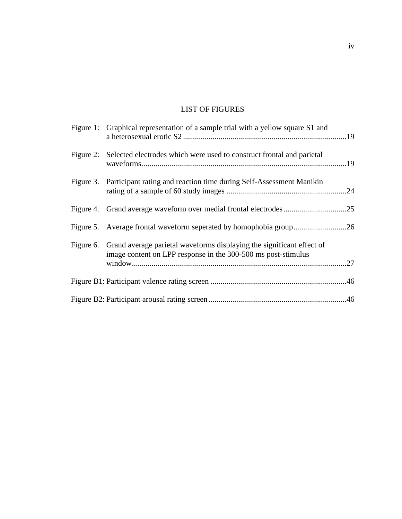# LIST OF FIGURES

| Figure 1: Graphical representation of a sample trial with a yellow square S1 and                                                                 |  |
|--------------------------------------------------------------------------------------------------------------------------------------------------|--|
| Figure 2: Selected electrodes which were used to construct frontal and parietal                                                                  |  |
| Figure 3. Participant rating and reaction time during Self-Assessment Manikin                                                                    |  |
|                                                                                                                                                  |  |
|                                                                                                                                                  |  |
| Figure 6. Grand average parietal waveforms displaying the significant effect of<br>image content on LPP response in the 300-500 ms post-stimulus |  |
|                                                                                                                                                  |  |
|                                                                                                                                                  |  |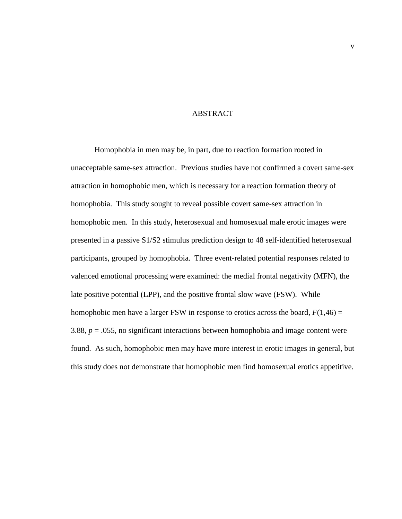# ABSTRACT

Homophobia in men may be, in part, due to reaction formation rooted in unacceptable same-sex attraction. Previous studies have not confirmed a covert same-sex attraction in homophobic men, which is necessary for a reaction formation theory of homophobia. This study sought to reveal possible covert same-sex attraction in homophobic men. In this study, heterosexual and homosexual male erotic images were presented in a passive S1/S2 stimulus prediction design to 48 self-identified heterosexual participants, grouped by homophobia. Three event-related potential responses related to valenced emotional processing were examined: the medial frontal negativity (MFN), the late positive potential (LPP), and the positive frontal slow wave (FSW). While homophobic men have a larger FSW in response to erotics across the board,  $F(1,46) =$ 3.88, *p* = .055, no significant interactions between homophobia and image content were found. As such, homophobic men may have more interest in erotic images in general, but this study does not demonstrate that homophobic men find homosexual erotics appetitive.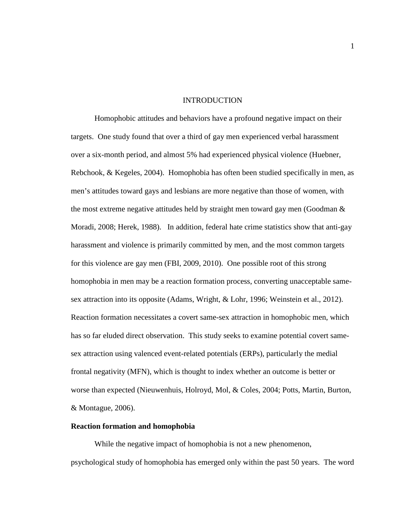#### INTRODUCTION

Homophobic attitudes and behaviors have a profound negative impact on their targets. One study found that over a third of gay men experienced verbal harassment over a six-month period, and almost 5% had experienced physical violence (Huebner, Rebchook, & Kegeles, 2004). Homophobia has often been studied specifically in men, as men's attitudes toward gays and lesbians are more negative than those of women, with the most extreme negative attitudes held by straight men toward gay men (Goodman & Moradi, 2008; Herek, 1988). In addition, federal hate crime statistics show that anti-gay harassment and violence is primarily committed by men, and the most common targets for this violence are gay men (FBI, 2009, 2010). One possible root of this strong homophobia in men may be a reaction formation process, converting unacceptable samesex attraction into its opposite (Adams, Wright, & Lohr, 1996; Weinstein et al., 2012). Reaction formation necessitates a covert same-sex attraction in homophobic men, which has so far eluded direct observation. This study seeks to examine potential covert samesex attraction using valenced event-related potentials (ERPs), particularly the medial frontal negativity (MFN), which is thought to index whether an outcome is better or worse than expected (Nieuwenhuis, Holroyd, Mol, & Coles, 2004; Potts, Martin, Burton, & Montague, 2006).

#### **Reaction formation and homophobia**

While the negative impact of homophobia is not a new phenomenon, psychological study of homophobia has emerged only within the past 50 years. The word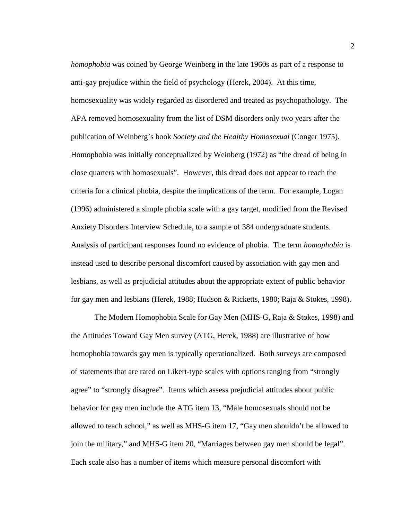*homophobia* was coined by George Weinberg in the late 1960s as part of a response to anti-gay prejudice within the field of psychology (Herek, 2004). At this time, homosexuality was widely regarded as disordered and treated as psychopathology. The APA removed homosexuality from the list of DSM disorders only two years after the publication of Weinberg's book *Society and the Healthy Homosexual* (Conger 1975). Homophobia was initially conceptualized by Weinberg (1972) as "the dread of being in close quarters with homosexuals". However, this dread does not appear to reach the criteria for a clinical phobia, despite the implications of the term. For example, Logan (1996) administered a simple phobia scale with a gay target, modified from the Revised Anxiety Disorders Interview Schedule, to a sample of 384 undergraduate students. Analysis of participant responses found no evidence of phobia. The term *homophobia* is instead used to describe personal discomfort caused by association with gay men and lesbians, as well as prejudicial attitudes about the appropriate extent of public behavior for gay men and lesbians (Herek, 1988; Hudson & Ricketts, 1980; Raja & Stokes, 1998).

The Modern Homophobia Scale for Gay Men (MHS-G, Raja & Stokes, 1998) and the Attitudes Toward Gay Men survey (ATG, Herek, 1988) are illustrative of how homophobia towards gay men is typically operationalized. Both surveys are composed of statements that are rated on Likert-type scales with options ranging from "strongly agree" to "strongly disagree". Items which assess prejudicial attitudes about public behavior for gay men include the ATG item 13, "Male homosexuals should not be allowed to teach school," as well as MHS-G item 17, "Gay men shouldn't be allowed to join the military," and MHS-G item 20, "Marriages between gay men should be legal". Each scale also has a number of items which measure personal discomfort with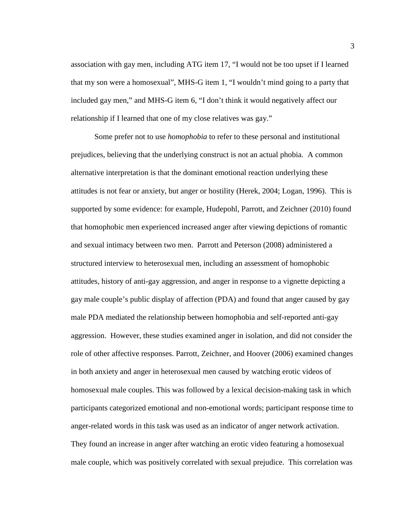association with gay men, including ATG item 17, "I would not be too upset if I learned that my son were a homosexual", MHS-G item 1, "I wouldn't mind going to a party that included gay men," and MHS-G item 6, "I don't think it would negatively affect our relationship if I learned that one of my close relatives was gay."

Some prefer not to use *homophobia* to refer to these personal and institutional prejudices, believing that the underlying construct is not an actual phobia. A common alternative interpretation is that the dominant emotional reaction underlying these attitudes is not fear or anxiety, but anger or hostility (Herek, 2004; Logan, 1996). This is supported by some evidence: for example, Hudepohl, Parrott, and Zeichner (2010) found that homophobic men experienced increased anger after viewing depictions of romantic and sexual intimacy between two men. Parrott and Peterson (2008) administered a structured interview to heterosexual men, including an assessment of homophobic attitudes, history of anti-gay aggression, and anger in response to a vignette depicting a gay male couple's public display of affection (PDA) and found that anger caused by gay male PDA mediated the relationship between homophobia and self-reported anti-gay aggression. However, these studies examined anger in isolation, and did not consider the role of other affective responses. Parrott, Zeichner, and Hoover (2006) examined changes in both anxiety and anger in heterosexual men caused by watching erotic videos of homosexual male couples. This was followed by a lexical decision-making task in which participants categorized emotional and non-emotional words; participant response time to anger-related words in this task was used as an indicator of anger network activation. They found an increase in anger after watching an erotic video featuring a homosexual male couple, which was positively correlated with sexual prejudice. This correlation was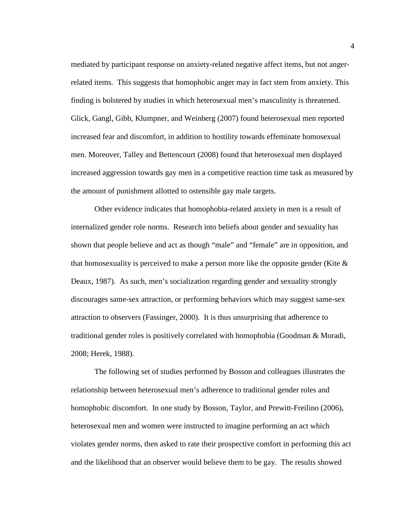mediated by participant response on anxiety-related negative affect items, but not angerrelated items. This suggests that homophobic anger may in fact stem from anxiety. This finding is bolstered by studies in which heterosexual men's masculinity is threatened. Glick, Gangl, Gibb, Klumpner, and Weinberg (2007) found heterosexual men reported increased fear and discomfort, in addition to hostility towards effeminate homosexual men. Moreover, Talley and Bettencourt (2008) found that heterosexual men displayed increased aggression towards gay men in a competitive reaction time task as measured by the amount of punishment allotted to ostensible gay male targets.

Other evidence indicates that homophobia-related anxiety in men is a result of internalized gender role norms. Research into beliefs about gender and sexuality has shown that people believe and act as though "male" and "female" are in opposition, and that homosexuality is perceived to make a person more like the opposite gender (Kite  $\&$ Deaux, 1987). As such, men's socialization regarding gender and sexuality strongly discourages same-sex attraction, or performing behaviors which may suggest same-sex attraction to observers (Fassinger, 2000). It is thus unsurprising that adherence to traditional gender roles is positively correlated with homophobia (Goodman & Moradi, 2008; Herek, 1988).

The following set of studies performed by Bosson and colleagues illustrates the relationship between heterosexual men's adherence to traditional gender roles and homophobic discomfort. In one study by Bosson, Taylor, and Prewitt-Freilino (2006), heterosexual men and women were instructed to imagine performing an act which violates gender norms, then asked to rate their prospective comfort in performing this act and the likelihood that an observer would believe them to be gay. The results showed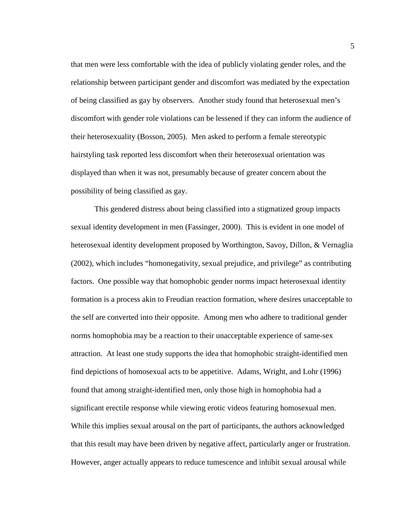that men were less comfortable with the idea of publicly violating gender roles, and the relationship between participant gender and discomfort was mediated by the expectation of being classified as gay by observers. Another study found that heterosexual men's discomfort with gender role violations can be lessened if they can inform the audience of their heterosexuality (Bosson, 2005). Men asked to perform a female stereotypic hairstyling task reported less discomfort when their heterosexual orientation was displayed than when it was not, presumably because of greater concern about the possibility of being classified as gay.

This gendered distress about being classified into a stigmatized group impacts sexual identity development in men (Fassinger, 2000). This is evident in one model of heterosexual identity development proposed by Worthington, Savoy, Dillon, & Vernaglia (2002), which includes "homonegativity, sexual prejudice, and privilege" as contributing factors. One possible way that homophobic gender norms impact heterosexual identity formation is a process akin to Freudian reaction formation, where desires unacceptable to the self are converted into their opposite. Among men who adhere to traditional gender norms homophobia may be a reaction to their unacceptable experience of same-sex attraction. At least one study supports the idea that homophobic straight-identified men find depictions of homosexual acts to be appetitive. Adams, Wright, and Lohr (1996) found that among straight-identified men, only those high in homophobia had a significant erectile response while viewing erotic videos featuring homosexual men. While this implies sexual arousal on the part of participants, the authors acknowledged that this result may have been driven by negative affect, particularly anger or frustration. However, anger actually appears to reduce tumescence and inhibit sexual arousal while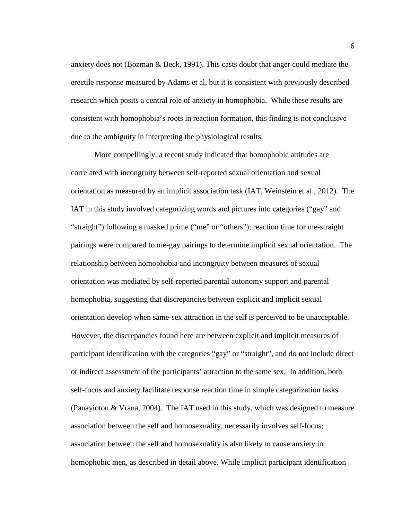anxiety does not (Bozman & Beck, 1991). This casts doubt that anger could mediate the erectile response measured by Adams et al, but it is consistent with previously described research which posits a central role of anxiety in homophobia. While these results are consistent with homophobia's roots in reaction formation, this finding is not conclusive due to the ambiguity in interpreting the physiological results.

More compellingly, a recent study indicated that homophobic attitudes are correlated with incongruity between self-reported sexual orientation and sexual orientation as measured by an implicit association task (IAT, Weinstein et al., 2012). The IAT in this study involved categorizing words and pictures into categories ("gay" and "straight") following a masked prime ("me" or "others"); reaction time for me-straight pairings were compared to me-gay pairings to determine implicit sexual orientation. The relationship between homophobia and incongruity between measures of sexual orientation was mediated by self-reported parental autonomy support and parental homophobia, suggesting that discrepancies between explicit and implicit sexual orientation develop when same-sex attraction in the self is perceived to be unacceptable. However, the discrepancies found here are between explicit and implicit measures of participant identification with the categories "gay" or "straight", and do not include direct or indirect assessment of the participants' attraction to the same sex. In addition, both self-focus and anxiety facilitate response reaction time in simple categorization tasks (Panayiotou & Vrana, 2004). The IAT used in this study, which was designed to measure association between the self and homosexuality, necessarily involves self-focus; association between the self and homosexuality is also likely to cause anxiety in homophobic men, as described in detail above. While implicit participant identification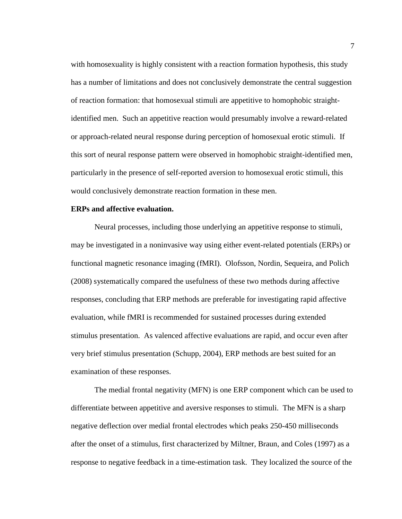with homosexuality is highly consistent with a reaction formation hypothesis, this study has a number of limitations and does not conclusively demonstrate the central suggestion of reaction formation: that homosexual stimuli are appetitive to homophobic straightidentified men. Such an appetitive reaction would presumably involve a reward-related or approach-related neural response during perception of homosexual erotic stimuli. If this sort of neural response pattern were observed in homophobic straight-identified men, particularly in the presence of self-reported aversion to homosexual erotic stimuli, this would conclusively demonstrate reaction formation in these men.

## **ERPs and affective evaluation.**

Neural processes, including those underlying an appetitive response to stimuli, may be investigated in a noninvasive way using either event-related potentials (ERPs) or functional magnetic resonance imaging (fMRI). Olofsson, Nordin, Sequeira, and Polich (2008) systematically compared the usefulness of these two methods during affective responses, concluding that ERP methods are preferable for investigating rapid affective evaluation, while fMRI is recommended for sustained processes during extended stimulus presentation. As valenced affective evaluations are rapid, and occur even after very brief stimulus presentation (Schupp, 2004), ERP methods are best suited for an examination of these responses.

The medial frontal negativity (MFN) is one ERP component which can be used to differentiate between appetitive and aversive responses to stimuli. The MFN is a sharp negative deflection over medial frontal electrodes which peaks 250-450 milliseconds after the onset of a stimulus, first characterized by Miltner, Braun, and Coles (1997) as a response to negative feedback in a time-estimation task. They localized the source of the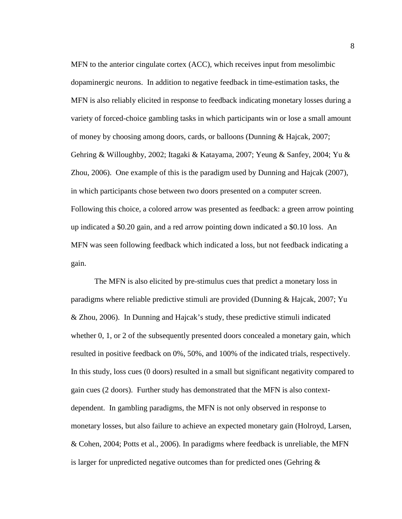MFN to the anterior cingulate cortex (ACC), which receives input from mesolimbic dopaminergic neurons. In addition to negative feedback in time-estimation tasks, the MFN is also reliably elicited in response to feedback indicating monetary losses during a variety of forced-choice gambling tasks in which participants win or lose a small amount of money by choosing among doors, cards, or balloons (Dunning & Hajcak, 2007; Gehring & Willoughby, 2002; Itagaki & Katayama, 2007; Yeung & Sanfey, 2004; Yu & Zhou, 2006). One example of this is the paradigm used by Dunning and Hajcak (2007), in which participants chose between two doors presented on a computer screen. Following this choice, a colored arrow was presented as feedback: a green arrow pointing up indicated a \$0.20 gain, and a red arrow pointing down indicated a \$0.10 loss. An MFN was seen following feedback which indicated a loss, but not feedback indicating a gain.

The MFN is also elicited by pre-stimulus cues that predict a monetary loss in paradigms where reliable predictive stimuli are provided (Dunning & Hajcak, 2007; Yu & Zhou, 2006). In Dunning and Hajcak's study, these predictive stimuli indicated whether 0, 1, or 2 of the subsequently presented doors concealed a monetary gain, which resulted in positive feedback on 0%, 50%, and 100% of the indicated trials, respectively. In this study, loss cues (0 doors) resulted in a small but significant negativity compared to gain cues (2 doors). Further study has demonstrated that the MFN is also contextdependent. In gambling paradigms, the MFN is not only observed in response to monetary losses, but also failure to achieve an expected monetary gain (Holroyd, Larsen, & Cohen, 2004; Potts et al., 2006). In paradigms where feedback is unreliable, the MFN is larger for unpredicted negative outcomes than for predicted ones (Gehring  $\&$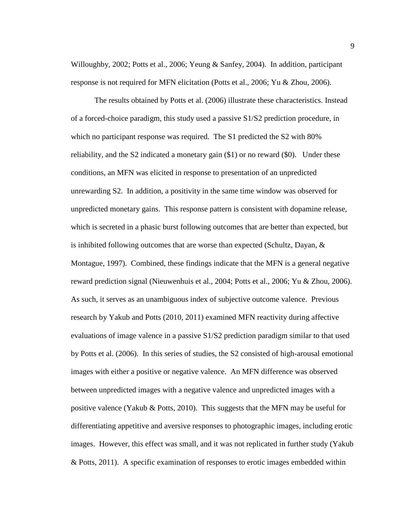Willoughby, 2002; Potts et al., 2006; Yeung & Sanfey, 2004). In addition, participant response is not required for MFN elicitation (Potts et al., 2006; Yu & Zhou, 2006).

The results obtained by Potts et al. (2006) illustrate these characteristics. Instead of a forced-choice paradigm, this study used a passive S1/S2 prediction procedure, in which no participant response was required. The S1 predicted the S2 with 80% reliability, and the S2 indicated a monetary gain (\$1) or no reward (\$0). Under these conditions, an MFN was elicited in response to presentation of an unpredicted unrewarding S2. In addition, a positivity in the same time window was observed for unpredicted monetary gains. This response pattern is consistent with dopamine release, which is secreted in a phasic burst following outcomes that are better than expected, but is inhibited following outcomes that are worse than expected (Schultz, Dayan, & Montague, 1997). Combined, these findings indicate that the MFN is a general negative reward prediction signal (Nieuwenhuis et al., 2004; Potts et al., 2006; Yu & Zhou, 2006). As such, it serves as an unambiguous index of subjective outcome valence. Previous research by Yakub and Potts (2010, 2011) examined MFN reactivity during affective evaluations of image valence in a passive S1/S2 prediction paradigm similar to that used by Potts et al. (2006). In this series of studies, the S2 consisted of high-arousal emotional images with either a positive or negative valence. An MFN difference was observed between unpredicted images with a negative valence and unpredicted images with a positive valence (Yakub & Potts, 2010). This suggests that the MFN may be useful for differentiating appetitive and aversive responses to photographic images, including erotic images. However, this effect was small, and it was not replicated in further study (Yakub & Potts, 2011). A specific examination of responses to erotic images embedded within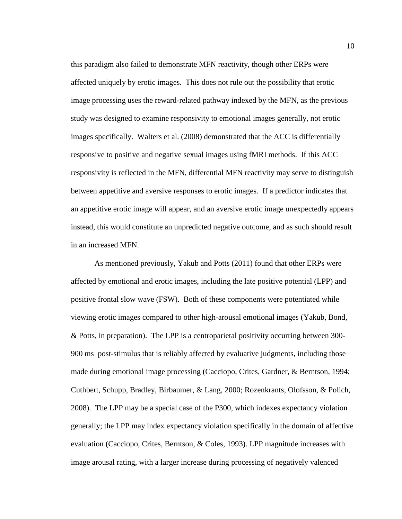this paradigm also failed to demonstrate MFN reactivity, though other ERPs were affected uniquely by erotic images. This does not rule out the possibility that erotic image processing uses the reward-related pathway indexed by the MFN, as the previous study was designed to examine responsivity to emotional images generally, not erotic images specifically. Walters et al. (2008) demonstrated that the ACC is differentially responsive to positive and negative sexual images using fMRI methods. If this ACC responsivity is reflected in the MFN, differential MFN reactivity may serve to distinguish between appetitive and aversive responses to erotic images. If a predictor indicates that an appetitive erotic image will appear, and an aversive erotic image unexpectedly appears instead, this would constitute an unpredicted negative outcome, and as such should result in an increased MFN.

As mentioned previously, Yakub and Potts (2011) found that other ERPs were affected by emotional and erotic images, including the late positive potential (LPP) and positive frontal slow wave (FSW). Both of these components were potentiated while viewing erotic images compared to other high-arousal emotional images (Yakub, Bond, & Potts, in preparation). The LPP is a centroparietal positivity occurring between 300- 900 ms post-stimulus that is reliably affected by evaluative judgments, including those made during emotional image processing (Cacciopo, Crites, Gardner, & Berntson, 1994; Cuthbert, Schupp, Bradley, Birbaumer, & Lang, 2000; Rozenkrants, Olofsson, & Polich, 2008). The LPP may be a special case of the P300, which indexes expectancy violation generally; the LPP may index expectancy violation specifically in the domain of affective evaluation (Cacciopo, Crites, Berntson, & Coles, 1993). LPP magnitude increases with image arousal rating, with a larger increase during processing of negatively valenced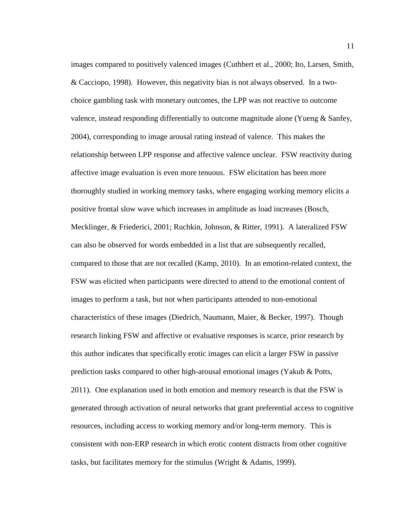images compared to positively valenced images (Cuthbert et al., 2000; Ito, Larsen, Smith, & Cacciopo, 1998). However, this negativity bias is not always observed. In a twochoice gambling task with monetary outcomes, the LPP was not reactive to outcome valence, instead responding differentially to outcome magnitude alone (Yueng & Sanfey, 2004), corresponding to image arousal rating instead of valence. This makes the relationship between LPP response and affective valence unclear. FSW reactivity during affective image evaluation is even more tenuous. FSW elicitation has been more thoroughly studied in working memory tasks, where engaging working memory elicits a positive frontal slow wave which increases in amplitude as load increases (Bosch, Mecklinger, & Friederici, 2001; Ruchkin, Johnson, & Ritter, 1991). A lateralized FSW can also be observed for words embedded in a list that are subsequently recalled, compared to those that are not recalled (Kamp, 2010). In an emotion-related context, the FSW was elicited when participants were directed to attend to the emotional content of images to perform a task, but not when participants attended to non-emotional characteristics of these images (Diedrich, Naumann, Maier, & Becker, 1997). Though research linking FSW and affective or evaluative responses is scarce, prior research by this author indicates that specifically erotic images can elicit a larger FSW in passive prediction tasks compared to other high-arousal emotional images (Yakub & Potts, 2011). One explanation used in both emotion and memory research is that the FSW is generated through activation of neural networks that grant preferential access to cognitive resources, including access to working memory and/or long-term memory. This is consistent with non-ERP research in which erotic content distracts from other cognitive tasks, but facilitates memory for the stimulus (Wright & Adams, 1999).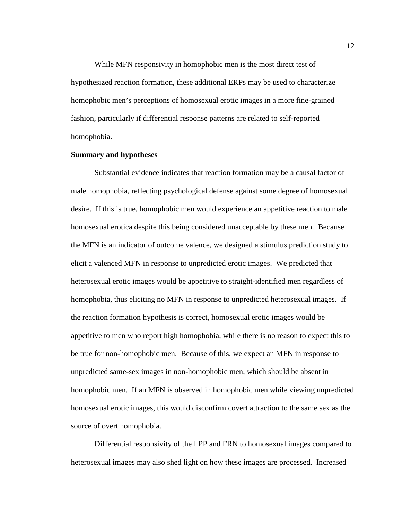While MFN responsivity in homophobic men is the most direct test of hypothesized reaction formation, these additional ERPs may be used to characterize homophobic men's perceptions of homosexual erotic images in a more fine-grained fashion, particularly if differential response patterns are related to self-reported homophobia.

## **Summary and hypotheses**

Substantial evidence indicates that reaction formation may be a causal factor of male homophobia, reflecting psychological defense against some degree of homosexual desire. If this is true, homophobic men would experience an appetitive reaction to male homosexual erotica despite this being considered unacceptable by these men. Because the MFN is an indicator of outcome valence, we designed a stimulus prediction study to elicit a valenced MFN in response to unpredicted erotic images. We predicted that heterosexual erotic images would be appetitive to straight-identified men regardless of homophobia, thus eliciting no MFN in response to unpredicted heterosexual images. If the reaction formation hypothesis is correct, homosexual erotic images would be appetitive to men who report high homophobia, while there is no reason to expect this to be true for non-homophobic men. Because of this, we expect an MFN in response to unpredicted same-sex images in non-homophobic men, which should be absent in homophobic men. If an MFN is observed in homophobic men while viewing unpredicted homosexual erotic images, this would disconfirm covert attraction to the same sex as the source of overt homophobia.

Differential responsivity of the LPP and FRN to homosexual images compared to heterosexual images may also shed light on how these images are processed. Increased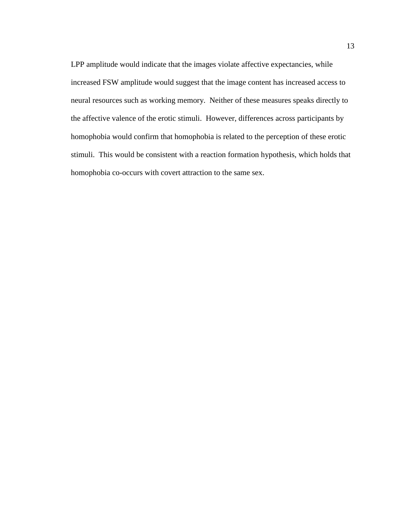LPP amplitude would indicate that the images violate affective expectancies, while increased FSW amplitude would suggest that the image content has increased access to neural resources such as working memory. Neither of these measures speaks directly to the affective valence of the erotic stimuli. However, differences across participants by homophobia would confirm that homophobia is related to the perception of these erotic stimuli. This would be consistent with a reaction formation hypothesis, which holds that homophobia co-occurs with covert attraction to the same sex.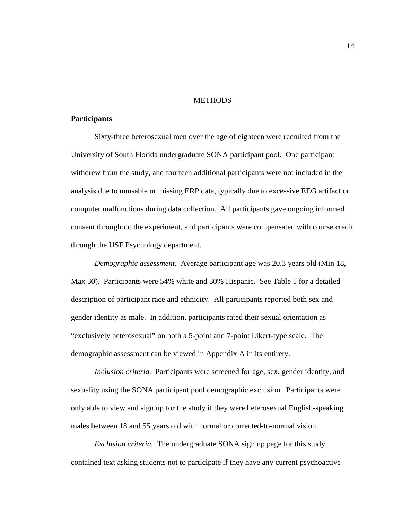#### **METHODS**

# **Participants**

Sixty-three heterosexual men over the age of eighteen were recruited from the University of South Florida undergraduate SONA participant pool. One participant withdrew from the study, and fourteen additional participants were not included in the analysis due to unusable or missing ERP data, typically due to excessive EEG artifact or computer malfunctions during data collection. All participants gave ongoing informed consent throughout the experiment, and participants were compensated with course credit through the USF Psychology department.

*Demographic assessment.* Average participant age was 20.3 years old (Min 18, Max 30). Participants were 54% white and 30% Hispanic. See Table 1 for a detailed description of participant race and ethnicity. All participants reported both sex and gender identity as male. In addition, participants rated their sexual orientation as "exclusively heterosexual" on both a 5-point and 7-point Likert-type scale. The demographic assessment can be viewed in Appendix A in its entirety.

*Inclusion criteria.* Participants were screened for age, sex, gender identity, and sexuality using the SONA participant pool demographic exclusion. Participants were only able to view and sign up for the study if they were heterosexual English-speaking males between 18 and 55 years old with normal or corrected-to-normal vision.

*Exclusion criteria.* The undergraduate SONA sign up page for this study contained text asking students not to participate if they have any current psychoactive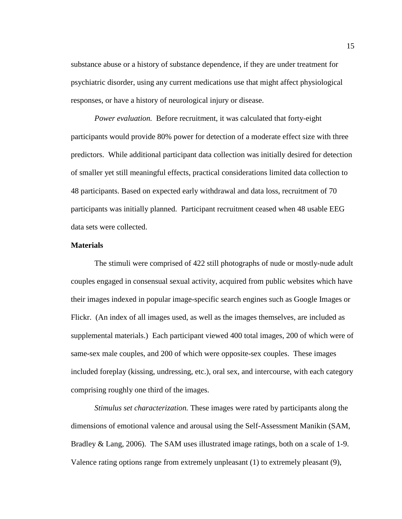substance abuse or a history of substance dependence, if they are under treatment for psychiatric disorder, using any current medications use that might affect physiological responses, or have a history of neurological injury or disease.

*Power evaluation.* Before recruitment, it was calculated that forty-eight participants would provide 80% power for detection of a moderate effect size with three predictors. While additional participant data collection was initially desired for detection of smaller yet still meaningful effects, practical considerations limited data collection to 48 participants. Based on expected early withdrawal and data loss, recruitment of 70 participants was initially planned. Participant recruitment ceased when 48 usable EEG data sets were collected.

#### **Materials**

The stimuli were comprised of 422 still photographs of nude or mostly-nude adult couples engaged in consensual sexual activity, acquired from public websites which have their images indexed in popular image-specific search engines such as Google Images or Flickr. (An index of all images used, as well as the images themselves, are included as supplemental materials.) Each participant viewed 400 total images, 200 of which were of same-sex male couples, and 200 of which were opposite-sex couples. These images included foreplay (kissing, undressing, etc.), oral sex, and intercourse, with each category comprising roughly one third of the images.

*Stimulus set characterization.* These images were rated by participants along the dimensions of emotional valence and arousal using the Self-Assessment Manikin (SAM, Bradley & Lang, 2006). The SAM uses illustrated image ratings, both on a scale of 1-9. Valence rating options range from extremely unpleasant (1) to extremely pleasant (9),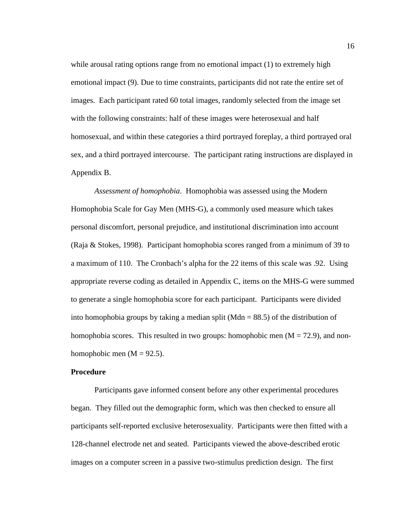while arousal rating options range from no emotional impact (1) to extremely high emotional impact (9). Due to time constraints, participants did not rate the entire set of images. Each participant rated 60 total images, randomly selected from the image set with the following constraints: half of these images were heterosexual and half homosexual, and within these categories a third portrayed foreplay, a third portrayed oral sex, and a third portrayed intercourse. The participant rating instructions are displayed in Appendix B.

*Assessment of homophobia*. Homophobia was assessed using the Modern Homophobia Scale for Gay Men (MHS-G), a commonly used measure which takes personal discomfort, personal prejudice, and institutional discrimination into account (Raja & Stokes, 1998). Participant homophobia scores ranged from a minimum of 39 to a maximum of 110. The Cronbach's alpha for the 22 items of this scale was .92. Using appropriate reverse coding as detailed in Appendix C, items on the MHS-G were summed to generate a single homophobia score for each participant. Participants were divided into homophobia groups by taking a median split (Mdn  $= 88.5$ ) of the distribution of homophobia scores. This resulted in two groups: homophobic men  $(M = 72.9)$ , and nonhomophobic men  $(M = 92.5)$ .

#### **Procedure**

Participants gave informed consent before any other experimental procedures began. They filled out the demographic form, which was then checked to ensure all participants self-reported exclusive heterosexuality. Participants were then fitted with a 128-channel electrode net and seated. Participants viewed the above-described erotic images on a computer screen in a passive two-stimulus prediction design. The first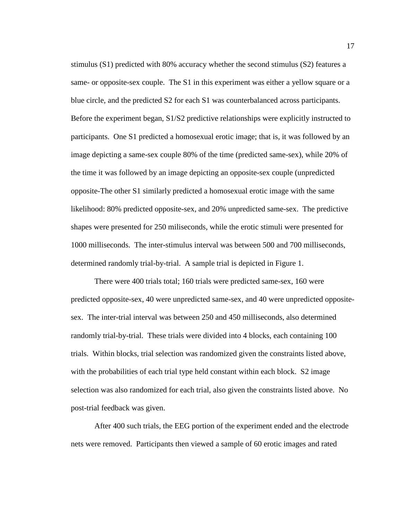stimulus (S1) predicted with 80% accuracy whether the second stimulus (S2) features a same- or opposite-sex couple. The S1 in this experiment was either a yellow square or a blue circle, and the predicted S2 for each S1 was counterbalanced across participants. Before the experiment began, S1/S2 predictive relationships were explicitly instructed to participants. One S1 predicted a homosexual erotic image; that is, it was followed by an image depicting a same-sex couple 80% of the time (predicted same-sex), while 20% of the time it was followed by an image depicting an opposite-sex couple (unpredicted opposite-The other S1 similarly predicted a homosexual erotic image with the same likelihood: 80% predicted opposite-sex, and 20% unpredicted same-sex. The predictive shapes were presented for 250 miliseconds, while the erotic stimuli were presented for 1000 milliseconds. The inter-stimulus interval was between 500 and 700 milliseconds, determined randomly trial-by-trial. A sample trial is depicted in Figure 1.

There were 400 trials total; 160 trials were predicted same-sex, 160 were predicted opposite-sex, 40 were unpredicted same-sex, and 40 were unpredicted oppositesex. The inter-trial interval was between 250 and 450 milliseconds, also determined randomly trial-by-trial. These trials were divided into 4 blocks, each containing 100 trials. Within blocks, trial selection was randomized given the constraints listed above, with the probabilities of each trial type held constant within each block. S2 image selection was also randomized for each trial, also given the constraints listed above. No post-trial feedback was given.

After 400 such trials, the EEG portion of the experiment ended and the electrode nets were removed. Participants then viewed a sample of 60 erotic images and rated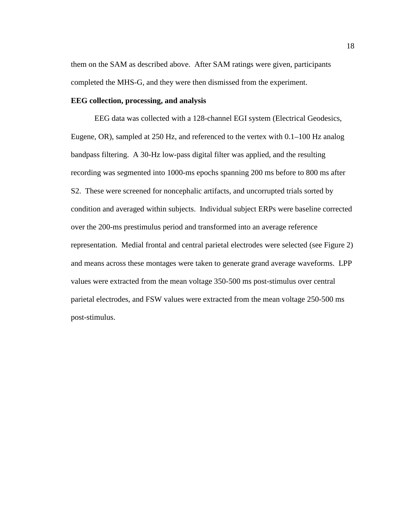them on the SAM as described above. After SAM ratings were given, participants completed the MHS-G, and they were then dismissed from the experiment.

#### **EEG collection, processing, and analysis**

EEG data was collected with a 128-channel EGI system (Electrical Geodesics, Eugene, OR), sampled at 250 Hz, and referenced to the vertex with 0.1–100 Hz analog bandpass filtering. A 30-Hz low-pass digital filter was applied, and the resulting recording was segmented into 1000-ms epochs spanning 200 ms before to 800 ms after S2. These were screened for noncephalic artifacts, and uncorrupted trials sorted by condition and averaged within subjects. Individual subject ERPs were baseline corrected over the 200-ms prestimulus period and transformed into an average reference representation. Medial frontal and central parietal electrodes were selected (see Figure 2) and means across these montages were taken to generate grand average waveforms. LPP values were extracted from the mean voltage 350-500 ms post-stimulus over central parietal electrodes, and FSW values were extracted from the mean voltage 250-500 ms post-stimulus.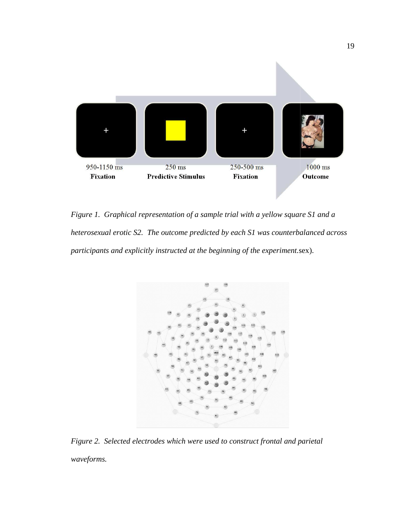

*Figure 1. Graphical representation of a sample trial with a yellow square S1 and a*  Figure 1. Graphical representation of a sample trial with a yellow square S1 and a<br>heterosexual erotic S2. The outcome predicted by each S1 was counterbalanced across *participants and explicitly instructed at the beginning of the experiment.* sex).



*Figure 2. Selected electrodes which were used to construct frontal and parietal waveforms.*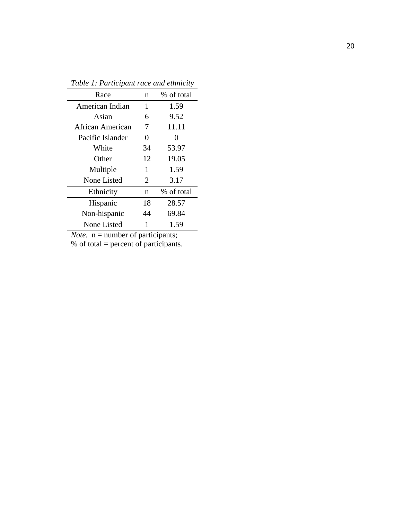| Race             | n              | % of total        |
|------------------|----------------|-------------------|
| American Indian  | 1              | 1.59              |
| Asian            | 6              | 9.52              |
| African American | 7              | 11.11             |
| Pacific Islander | 0              | $\mathbf{\Omega}$ |
| White            | 34             | 53.97             |
| Other            | 12             | 19.05             |
| Multiple         | 1              | 1.59              |
| None Listed      | $\overline{2}$ | 3.17              |
| Ethnicity        | n              | % of total        |
| Hispanic         | 18             | 28.57             |
| Non-hispanic     | 44             | 69.84             |
| None Listed      |                | 1.59              |

*Table 1: Participant race and ethnicity*

*Note.*  $n =$  number of participants;

% of total = percent of participants.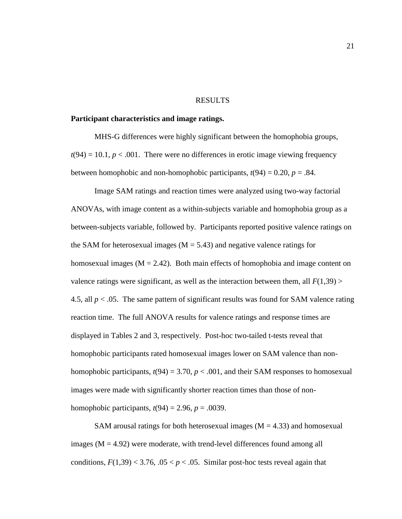#### RESULTS

# **Participant characteristics and image ratings.**

MHS-G differences were highly significant between the homophobia groups,  $t(94) = 10.1, p < .001$ . There were no differences in erotic image viewing frequency between homophobic and non-homophobic participants,  $t(94) = 0.20$ ,  $p = .84$ .

Image SAM ratings and reaction times were analyzed using two-way factorial ANOVAs, with image content as a within-subjects variable and homophobia group as a between-subjects variable, followed by. Participants reported positive valence ratings on the SAM for heterosexual images ( $M = 5.43$ ) and negative valence ratings for homosexual images ( $M = 2.42$ ). Both main effects of homophobia and image content on valence ratings were significant, as well as the interaction between them, all  $F(1,39)$  > 4.5, all  $p < 0.05$ . The same pattern of significant results was found for SAM valence rating reaction time. The full ANOVA results for valence ratings and response times are displayed in Tables 2 and 3, respectively. Post-hoc two-tailed t-tests reveal that homophobic participants rated homosexual images lower on SAM valence than nonhomophobic participants,  $t(94) = 3.70$ ,  $p < .001$ , and their SAM responses to homosexual images were made with significantly shorter reaction times than those of nonhomophobic participants,  $t(94) = 2.96$ ,  $p = .0039$ .

SAM arousal ratings for both heterosexual images ( $M = 4.33$ ) and homosexual images  $(M = 4.92)$  were moderate, with trend-level differences found among all conditions,  $F(1,39)$  < 3.76,  $.05 < p < .05$ . Similar post-hoc tests reveal again that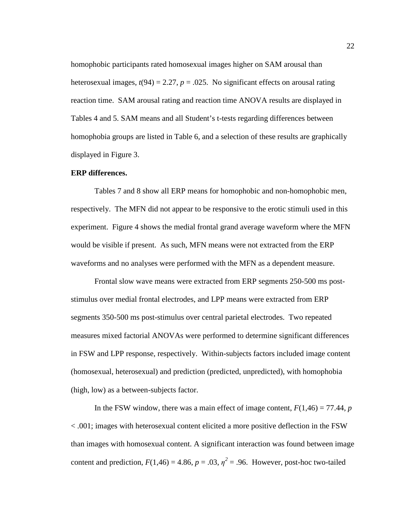homophobic participants rated homosexual images higher on SAM arousal than heterosexual images,  $t(94) = 2.27$ ,  $p = .025$ . No significant effects on arousal rating reaction time. SAM arousal rating and reaction time ANOVA results are displayed in Tables 4 and 5. SAM means and all Student's t-tests regarding differences between homophobia groups are listed in Table 6, and a selection of these results are graphically displayed in Figure 3.

# **ERP differences.**

Tables 7 and 8 show all ERP means for homophobic and non-homophobic men, respectively. The MFN did not appear to be responsive to the erotic stimuli used in this experiment. Figure 4 shows the medial frontal grand average waveform where the MFN would be visible if present. As such, MFN means were not extracted from the ERP waveforms and no analyses were performed with the MFN as a dependent measure.

Frontal slow wave means were extracted from ERP segments 250-500 ms poststimulus over medial frontal electrodes, and LPP means were extracted from ERP segments 350-500 ms post-stimulus over central parietal electrodes. Two repeated measures mixed factorial ANOVAs were performed to determine significant differences in FSW and LPP response, respectively. Within-subjects factors included image content (homosexual, heterosexual) and prediction (predicted, unpredicted), with homophobia (high, low) as a between-subjects factor.

In the FSW window, there was a main effect of image content,  $F(1,46) = 77.44$ , *p* < .001; images with heterosexual content elicited a more positive deflection in the FSW than images with homosexual content. A significant interaction was found between image content and prediction,  $F(1,46) = 4.86$ ,  $p = .03$ ,  $\eta^2 = .96$ . However, post-hoc two-tailed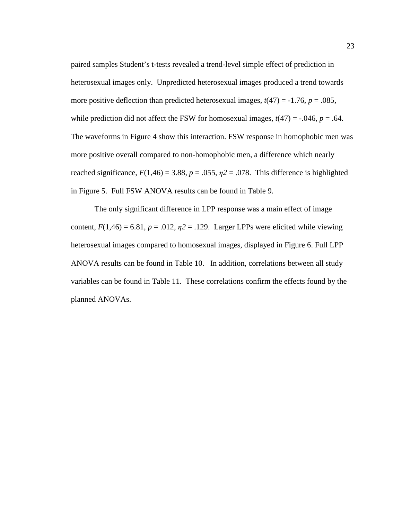paired samples Student's t-tests revealed a trend-level simple effect of prediction in heterosexual images only. Unpredicted heterosexual images produced a trend towards more positive deflection than predicted heterosexual images,  $t(47) = -1.76$ ,  $p = .085$ , while prediction did not affect the FSW for homosexual images,  $t(47) = -0.046$ ,  $p = 0.64$ . The waveforms in Figure 4 show this interaction. FSW response in homophobic men was more positive overall compared to non-homophobic men, a difference which nearly reached significance,  $F(1,46) = 3.88$ ,  $p = .055$ ,  $p2 = .078$ . This difference is highlighted in Figure 5. Full FSW ANOVA results can be found in Table 9.

The only significant difference in LPP response was a main effect of image content,  $F(1,46) = 6.81$ ,  $p = .012$ ,  $p = .129$ . Larger LPPs were elicited while viewing heterosexual images compared to homosexual images, displayed in Figure 6. Full LPP ANOVA results can be found in Table 10. In addition, correlations between all study variables can be found in Table 11. These correlations confirm the effects found by the planned ANOVAs.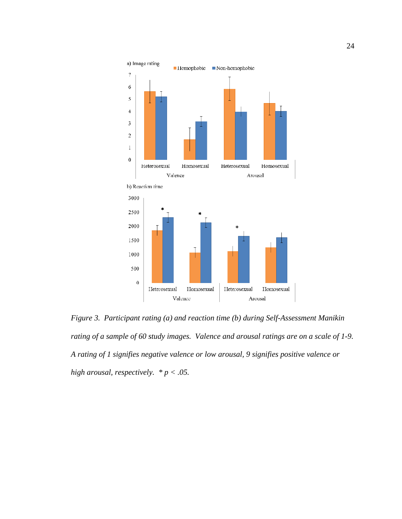

*Figure 3. Participant rating (a) and reaction time (b) during Self-Assessment Manikin* Figure 3. Participant rating (a) and reaction time (b) during Self-Assessment Manikin<br>rating of a sample of 60 study images. Valence and arousal ratings are on a scale of 1-9. *A rating of 1 signifies negative valence or low arousal, 9 signifies positive valence or high arousal, respectively. \* p < .05.*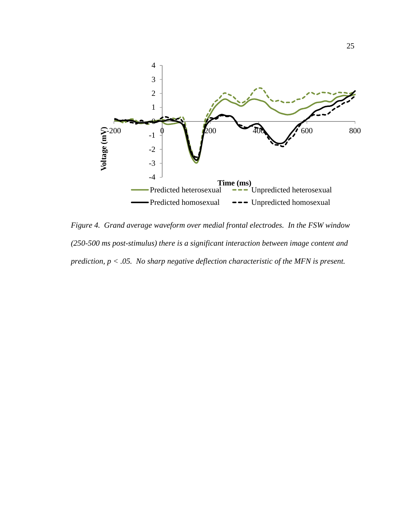

*Figure 4. Grand average waveform over medial frontal electrodes. In the FSW window (250-500 ms post-stimulus) there is a significant interaction between image content and prediction, p < .05. No sharp negative deflection characteristic of the MFN is present.*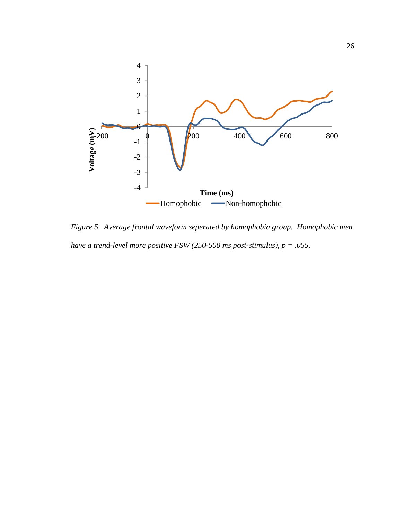

*Figure 5. Average frontal waveform seperated by homophobia group. Homophobic men have a trend-level more positive FSW (250-500 ms post-stimulus), p = .055.*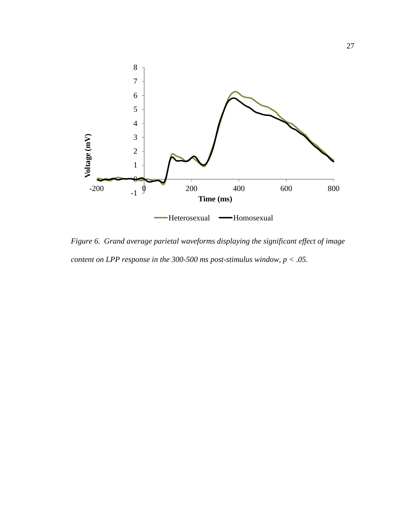

*Figure 6. Grand average parietal waveforms displaying the significant effect of image content on LPP response in the 300-500 ms post-stimulus window, p < .05.*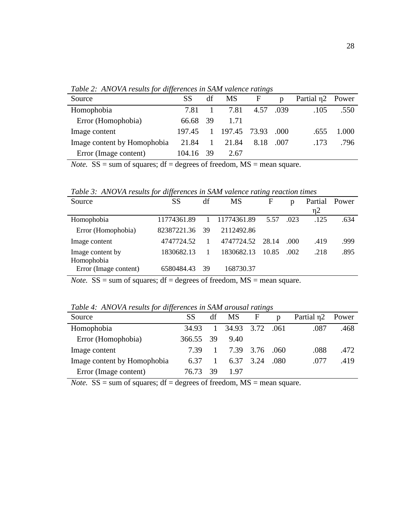| Source                      | SS        | df           | MS F                |           | $\mathbf{D}$ | Partial $\eta$ 2 Power |       |
|-----------------------------|-----------|--------------|---------------------|-----------|--------------|------------------------|-------|
| Homophobia                  | 7.81      |              | 7.81                | 4.57 .039 |              | .105                   | .550  |
| Error (Homophobia)          | 66.68 39  |              | 1.71                |           |              |                        |       |
| Image content               | 197.45    |              | 1 197.45 73.93 .000 |           |              | .655                   | 1.000 |
| Image content by Homophobia | 21.84     | $\mathbf{1}$ | 21.84               | 8.18      | (007         | .173                   | .796  |
| Error (Image content)       | 104.16 39 |              | 2.67                |           |              |                        |       |

*Table 2: ANOVA results for differences in SAM valence ratings* 

*Note.*  $SS = sum$  of squares;  $df = degrees$  of freedom,  $MS = mean$  square.

*Table 3: ANOVA results for differences in SAM valence rating reaction times* 

| Source                | SS          | df | <b>MS</b>   | F     | p    | Partial  | Power |
|-----------------------|-------------|----|-------------|-------|------|----------|-------|
|                       |             |    |             |       |      | $\eta$ 2 |       |
| Homophobia            | 11774361.89 |    | 11774361.89 | 5.57  | .023 | .125     | .634  |
| Error (Homophobia)    | 82387221.36 | 39 | 2112492.86  |       |      |          |       |
| Image content         | 4747724.52  |    | 4747724.52  | 28.14 | .000 | .419     | .999  |
| Image content by      | 1830682.13  |    | 1830682.13  | 10.85 | .002 | .218     | .895  |
| Homophobia            |             |    |             |       |      |          |       |
| Error (Image content) | 6580484.43  | 39 | 168730.37   |       |      |          |       |

*Note.*  $SS = sum$  of squares;  $df = degrees$  of freedom,  $MS = mean$  square.

*Table 4: ANOVA results for differences in SAM arousal ratings* 

| .                           |           |              |                 |      |                |                        |       |
|-----------------------------|-----------|--------------|-----------------|------|----------------|------------------------|-------|
| Source                      | SS        | df           | MS F            |      | $\mathfrak{v}$ | Partial n <sub>2</sub> | Power |
| Homophobia                  | 34.93     | $\mathbf{1}$ | 34.93 3.72 .061 |      |                | .087                   | .468  |
| Error (Homophobia)          | 366.55 39 |              | 9.40            |      |                |                        |       |
| Image content               | 739       |              | 7.39 3.76       |      | .060           | .088                   | .472  |
| Image content by Homophobia | 6.37      |              | 6.37            | 3.24 | .080           | .077                   | .419  |
| Error (Image content)       | 76.73     | 39           | 1.97            |      |                |                        |       |
|                             |           |              |                 |      |                |                        |       |

*Note.*  $SS = sum of squares; df = degrees of freedom, MS = mean square.$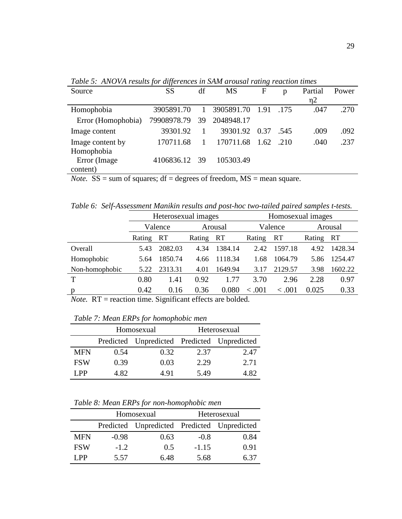*Table 5: ANOVA results for differences in SAM arousal rating reaction times* 

| Source                                                                                                                                             | SS            | df           | <b>MS</b>       | F | p     | Partial  | Power |  |
|----------------------------------------------------------------------------------------------------------------------------------------------------|---------------|--------------|-----------------|---|-------|----------|-------|--|
|                                                                                                                                                    |               |              |                 |   |       | $\eta$ 2 |       |  |
| Homophobia                                                                                                                                         | 3905891.70    | $\mathbf{1}$ | 3905891.70 1.91 |   | .175  | .047     | .270  |  |
| Error (Homophobia)                                                                                                                                 | 79908978.79   | 39           | 2048948.17      |   |       |          |       |  |
| Image content                                                                                                                                      | 39301.92      |              | 39301.92 0.37   |   | .545  | .009     | .092  |  |
| Image content by                                                                                                                                   | 170711.68     | $\mathbf{1}$ | 170711.68 1.62  |   | - 210 | .040     | .237  |  |
| Homophobia                                                                                                                                         |               |              |                 |   |       |          |       |  |
| Error (Image                                                                                                                                       | 4106836.12 39 |              | 105303.49       |   |       |          |       |  |
| content)                                                                                                                                           |               |              |                 |   |       |          |       |  |
| $\mathcal{L}$ and $\mathcal{L}$ and $\mathcal{L}$ and $\mathcal{L}$ and $\mathcal{L}$ and $\mathcal{L}$ and $\mathcal{L}$<br>$\mathbf{M}$ $\alpha$ |               |              |                 |   |       |          |       |  |

*Note.*  $SS = sum$  of squares;  $df = degrees$  of freedom,  $MS = mean$  square.

*Table 6: Self-Assessment Manikin results and post-hoc two-tailed paired samples t-tests.* 

|                |        | Heterosexual images |               |           |         | Homosexual images |           |         |
|----------------|--------|---------------------|---------------|-----------|---------|-------------------|-----------|---------|
|                |        | Valence<br>Arousal  |               |           | Valence |                   | Arousal   |         |
|                | Rating | <b>RT</b>           | Rating        | <b>RT</b> | Rating  | <b>RT</b>         | Rating RT |         |
| Overall        | 5.43   | 2082.03             | 4.34          | 1384.14   | 2.42    | 1597.18           | 4.92      | 1428.34 |
| Homophobic     | 5.64   | 1850.74             | 4.66          | 1118.34   | 1.68    | 1064.79           | 5.86      | 1254.47 |
| Non-homophobic | 5.22   | 2313.31             | 4.01          | 1649.94   | 3.17    | 2129.57           | 3.98      | 1602.22 |
| $\mathbf T$    | 0.80   | 1.41                | 0.92          | 1.77      | 3.70    | 2.96              | 2.28      | 0.97    |
| p              | 0.42   | 0.16                | 0.36          | 0.080     | .001    | < 0.001           | 0.025     | 0.33    |
|                |        | --                  | $\sim$ $\sim$ | .         |         |                   |           |         |

*Note.* RT = reaction time. Significant effects are bolded.

|            |      | Homosexual                                  |      | Heterosexual |
|------------|------|---------------------------------------------|------|--------------|
|            |      | Predicted Unpredicted Predicted Unpredicted |      |              |
| <b>MFN</b> | 0.54 | 0.32                                        | 2.37 | 2.47         |
| <b>FSW</b> | 0.39 | 0.03                                        | 2.29 | 2.71         |
| LPP        | 4.82 | 4.91                                        | 5.49 | 4.82.        |

*Table 7: Mean ERPs for homophobic men* 

*Table 8: Mean ERPs for non-homophobic men* 

|            |         | Homosexual                                  |         | Heterosexual |
|------------|---------|---------------------------------------------|---------|--------------|
|            |         | Predicted Unpredicted Predicted Unpredicted |         |              |
| <b>MFN</b> | $-0.98$ | 0.63                                        | $-0.8$  | 0.84         |
| <b>FSW</b> | $-1.2$  | 0.5                                         | $-1.15$ | 0.91         |
| I PP       | 5.57    | 6.48                                        | 5.68    | 6.37         |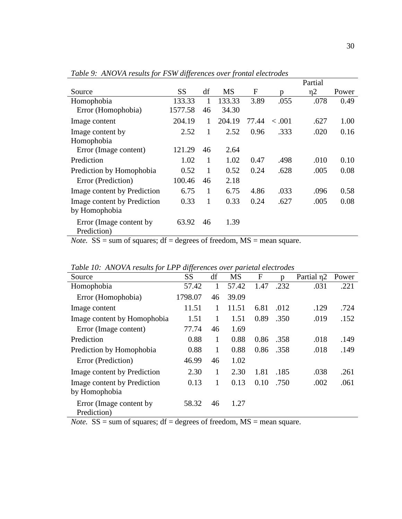|                             |           |    |           |       |         | Partial  |       |
|-----------------------------|-----------|----|-----------|-------|---------|----------|-------|
| Source                      | <b>SS</b> | df | <b>MS</b> | F     | n       | $\eta$ 2 | Power |
| Homophobia                  | 133.33    | 1  | 133.33    | 3.89  | .055    | .078     | 0.49  |
| Error (Homophobia)          | 1577.58   | 46 | 34.30     |       |         |          |       |
| Image content               | 204.19    | 1  | 204.19    | 77.44 | < 0.001 | .627     | 1.00  |
| Image content by            | 2.52      | 1  | 2.52      | 0.96  | .333    | .020     | 0.16  |
| Homophobia                  |           |    |           |       |         |          |       |
| Error (Image content)       | 121.29    | 46 | 2.64      |       |         |          |       |
| Prediction                  | 1.02      | 1  | 1.02      | 0.47  | .498    | .010     | 0.10  |
| Prediction by Homophobia    | 0.52      | 1  | 0.52      | 0.24  | .628    | .005     | 0.08  |
| Error (Prediction)          | 100.46    | 46 | 2.18      |       |         |          |       |
| Image content by Prediction | 6.75      | 1  | 6.75      | 4.86  | .033    | .096     | 0.58  |
| Image content by Prediction | 0.33      | 1  | 0.33      | 0.24  | .627    | .005     | 0.08  |
| by Homophobia               |           |    |           |       |         |          |       |
| Error (Image content by     | 63.92     | 46 | 1.39      |       |         |          |       |
| Prediction)                 |           |    |           |       |         |          |       |

*Table 9: ANOVA results for FSW differences over frontal electrodes* 

*Note.*  $SS = sum of squares; df = degrees of freedom, MS = mean square.$ 

| Twee To, Thro HIT comes for El I anjoi chees over partenal electrones |           |    |           |              |      |                        |       |
|-----------------------------------------------------------------------|-----------|----|-----------|--------------|------|------------------------|-------|
| Source                                                                | <b>SS</b> | df | <b>MS</b> | $\mathbf{F}$ | n    | Partial n <sub>2</sub> | Power |
| Homophobia                                                            | 57.42     | 1  | 57.42     | 1.47         | .232 | .031                   | .221  |
| Error (Homophobia)                                                    | 1798.07   | 46 | 39.09     |              |      |                        |       |
| Image content                                                         | 11.51     | 1  | 11.51     | 6.81         | .012 | .129                   | .724  |
| Image content by Homophobia                                           | 1.51      | 1  | 1.51      | 0.89         | .350 | .019                   | .152  |
| Error (Image content)                                                 | 77.74     | 46 | 1.69      |              |      |                        |       |
| Prediction                                                            | 0.88      | 1  | 0.88      | 0.86         | .358 | .018                   | .149  |
| Prediction by Homophobia                                              | 0.88      | 1  | 0.88      | 0.86         | .358 | .018                   | .149  |
| Error (Prediction)                                                    | 46.99     | 46 | 1.02      |              |      |                        |       |
| Image content by Prediction                                           | 2.30      | 1  | 2.30      | 1.81         | .185 | .038                   | .261  |
| Image content by Prediction<br>by Homophobia                          | 0.13      | 1  | 0.13      | 0.10         | .750 | .002                   | .061  |
| Error (Image content by<br>Prediction)                                | 58.32     | 46 | 1.27      |              |      |                        |       |

*Table 10: ANOVA results for LPP differences over parietal electrodes* 

*Note.*  $SS = sum of squares; df = degrees of freedom, MS = mean square.$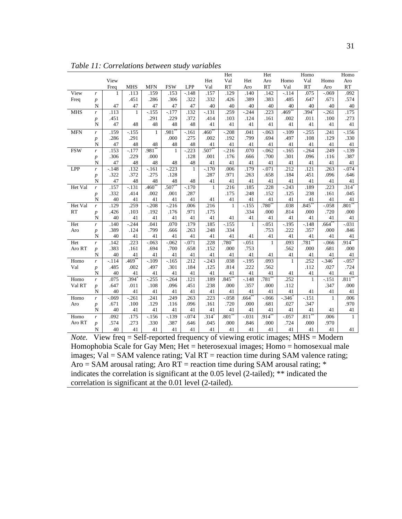|            |                  |          |              |                   |              |              |              | Het                 |              | Het         |                     | Homo                |                     | Homo         |
|------------|------------------|----------|--------------|-------------------|--------------|--------------|--------------|---------------------|--------------|-------------|---------------------|---------------------|---------------------|--------------|
|            |                  | View     |              |                   |              |              | Het          | Val                 | Het          | Aro         | Homo                | Val                 | Homo                | Aro          |
|            |                  | Freq     | <b>MHS</b>   | <b>MFN</b>        | <b>FSW</b>   | LPP          | Val          | <b>RT</b>           | Aro          | <b>RT</b>   | Val                 | <b>RT</b>           | Aro                 | RT           |
| View       | r                | 1        | .113         | .159              | .153         | $-.148$      | .157         | .129                | .140         | .142        | $-.114$             | .075                | $-.069$             | .092         |
| Freq       | $\boldsymbol{p}$ |          | .451         | .286              | .306         | .322         | .332         | .426                | .389         | .383        | .485                | .647                | .671                | .574         |
|            | $\mathbf N$      | 47       | 47           | 47                | 47           | 47           | 40           | 40                  | 40           | 40          | 40                  | 40                  | 40                  | $40\,$       |
| <b>MHS</b> | r                | .113     | $\mathbf{1}$ | $-.155$           | $-177$       | .132         | $-.131$      | .259                | $-.244$      | .223        | $.469$ <sup>*</sup> | $.394$ <sup>*</sup> | $-.261$             | .175         |
|            | $\boldsymbol{p}$ | .451     |              | .291              | .229         | .372         | .414         | .103                | .124         | .161        | .002                | .011                | .100                | .273         |
|            | N                | 47       | 48           | 48                | 48           | 48           | 41           | 41                  | 41           | 41          | 41                  | 41                  | 41                  | 41           |
| <b>MFN</b> | r                | .159     | $-.155$      | 1                 | $.981*$      | $-.161$      | $460^*$      | $-208$              | .041         | $-.063$     | $-.109$             | $-0.255$            | .241                | $-156$       |
|            | $\boldsymbol{p}$ | .286     | .291         |                   | .000         | .275         | .002         | .192                | .799         | .694        | .497                | .108                | .129                | .330         |
|            | ${\bf N}$        | 47       | 48           | 48                | 48           | 48           | 41           | 41                  | 41           | 41          | 41                  | 41                  | 41                  | 41           |
| <b>FSW</b> | r                | .153     | $-.177$      | .981              | $\mathbf{1}$ | $-.223$      | .507**       | $-216$              | .070         | $-.062$     | $-.165$             | $-0.264$            | .249                | $-139$       |
|            | $\boldsymbol{p}$ | .306     | .229         | .000              |              | .128         | .001         | .176                | .666         | .700        | .301                | .096                | .116                | .387         |
|            | N                | 47       | 48           | 48                | 48           | 48           | 41           | 41                  | 41           | 41          | 41                  | 41                  | 41                  | 41           |
| LPP        | $\boldsymbol{r}$ | $-.148$  | .132         | $-.161$           | $-.223$      | $\mathbf{1}$ | $-.170$      | .006                | .179         | $-.071$     | .212                | .121                | .263                | $-.074$      |
|            | $\boldsymbol{p}$ | .322     | .372         | .275              | .128         |              | .287         | .971                | .263         | .658        | .184                | .451                | .096                | .646         |
|            | N                | 47       | 48           | 48                | 48           | 48           | 41           | 41                  | 41           | 41          | 41                  | 41                  | 41                  | 41           |
| Het Val    | $\mathbf{r}$     | .157     | $-.131$      | .460 $^{\degree}$ | $.507**$     | $-.170$      | $\mathbf{1}$ | .216                | .185         | .228        | $-.243$             | .189                | .223                | $.314*$      |
|            | $\boldsymbol{p}$ | .332     | .414         | .002              | .001         | .287         |              | .175                | .248         | .152        | .125                | .238                | .161                | .045         |
|            | N                | 40       | 41           | 41                | 41           | 41           | 41           | 41                  | 41           | 41          | 41                  | 41                  | 41                  | 41           |
| Het Val    | $\mathbf{r}$     | .129     | .259         | $-.208$           | $-.216$      | .006         | .216         | $\mathbf{1}$        | $-.155$      | $.780^{**}$ | .038                | $.845**$            | $-.058$             | $.801**$     |
| <b>RT</b>  | $\boldsymbol{p}$ | .426     | .103         | .192              | .176         | .971         | .175         |                     | .334         | .000        | .814                | .000                | .720                | .000         |
|            | $\mathbf N$      | 40       | 41           | 41                | 41           | 41           | 41           | 41                  | 41           | 41          | 41                  | 41                  | 41                  | 41           |
| Het        | $\mathbf{r}$     | .140     | $-.244$      | .041              | .070         | .179         | .185         | $-.155$             | $\mathbf{1}$ | $-.051$     | $-.195$             | $-.148$             | $.664$ <sup>*</sup> | $-.031$      |
| Aro        | $\boldsymbol{p}$ | .389     | .124         | .799              | .666         | .263         | .248         | .334                |              | .753        | .222                | .357                | .000                | .846         |
|            | N                | 40       | 41           | 41                | 41           | 41           | 41           | 41                  | 41           | 41          | 41                  | 41                  | 41                  | 41           |
| Het        | $\boldsymbol{r}$ | .142     | .223         | $-.063$           | $-.062$      | $-.071$      | .228         | .780                | $-.051$      | 1           | .093                | .781                | $-0.066$            | $.914***$    |
| Aro RT     | $\boldsymbol{p}$ | .383     | .161         | .694              | .700         | .658         | .152         | .000                | .753         |             | .562                | .000                | .681                | .000         |
|            | N                | 40       | 41           | 41                | 41           | 41           | 41           | 41                  | 41           | 41          | 41                  | 41                  | 41                  | 41           |
| Homo       | r                | $-.114$  | $.469*$      | $-109$            | $-165$       | .212         | $-.243$      | .038                | $-195$       | .093        | $\mathbf{1}$        | .252                | $-.346$             | $-0.057$     |
| Val        | $\boldsymbol{p}$ | .485     | .002         | .497              | .301         | .184         | .125         | .814                | .222         | .562        |                     | .112                | .027                | .724         |
|            | N                | 40       | 41           | 41                | 41           | 41           | 41           | 41                  | 41           | 41          | 41                  | 41                  | 41                  | 41           |
| Homo       | r                | .075     | .394         | $-.255$           | $-.264$      | .121         | .189         | $.845*$             | $-.148$      | $.781^{*}$  | .252                | $\mathbf{1}$        | $-.151$             | $.811**$     |
| Val RT     | $\boldsymbol{p}$ | .647     | .011         | .108              | .096         | .451         | .238         | .000                | .357         | .000        | .112                |                     | .347                | .000         |
|            | N                | 40       | 41           | 41                | 41           | 41           | 41           | 41                  | 41           | 41          | 41                  | 41                  | 41                  | 41           |
| Homo       | $\mathbf{r}$     | $-0.069$ | $-.261$      | .241              | .249         | .263         | .223         | $-.058$             | $.664^{**}$  | $-0.066$    | $-.346$             | $-151$              | $\mathbf{1}$        | .006         |
| Aro        | $\boldsymbol{p}$ | .671     | .100         | .129              | .116         | .096         | .161         | .720                | .000         | .681        | .027                | .347                |                     | .970         |
|            | N                | 40       | 41           | 41                | 41           | 41           | 41           | 41                  | 41           | 41          | 41                  | 41                  | 41                  | 41           |
| Homo       | r                | .092     | .175         | $-156$            | $-139$       | $-.074$      | $.314*$      | $.801$ <sup>*</sup> | $-.031$      | $.914^{**}$ | $-.057$             | $.811**$            | .006                | $\mathbf{1}$ |
| Aro RT     | $\boldsymbol{p}$ | .574     | .273         | .330              | .387         | .646         | .045         | .000                | .846         | .000        | .724                | .000                | .970                |              |
|            | N                | 40       | 41           | 41                | 41           | 41           | 41           | 41                  | 41           | 41          | 41                  | 41                  | 41                  | 41           |

*Table 11: Correlations between study variables* 

*Note.* View freq = Self-reported frequency of viewing erotic images; MHS = Modern Homophobia Scale for Gay Men; Het = heterosexual images; Homo = homosexual male images; Val = SAM valence rating; Val RT = reaction time during SAM valence rating; Aro = SAM arousal rating; Aro  $RT$  = reaction time during SAM arousal rating;  $*$ indicates the correlation is significant at the 0.05 level (2-tailed); \*\* indicated the correlation is significant at the 0.01 level (2-tailed).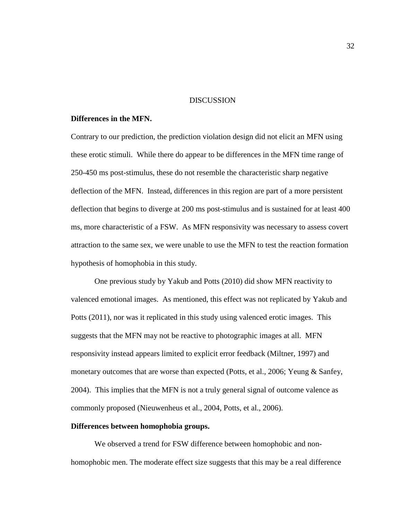#### DISCUSSION

## **Differences in the MFN.**

Contrary to our prediction, the prediction violation design did not elicit an MFN using these erotic stimuli. While there do appear to be differences in the MFN time range of 250-450 ms post-stimulus, these do not resemble the characteristic sharp negative deflection of the MFN. Instead, differences in this region are part of a more persistent deflection that begins to diverge at 200 ms post-stimulus and is sustained for at least 400 ms, more characteristic of a FSW. As MFN responsivity was necessary to assess covert attraction to the same sex, we were unable to use the MFN to test the reaction formation hypothesis of homophobia in this study.

One previous study by Yakub and Potts (2010) did show MFN reactivity to valenced emotional images. As mentioned, this effect was not replicated by Yakub and Potts (2011), nor was it replicated in this study using valenced erotic images. This suggests that the MFN may not be reactive to photographic images at all. MFN responsivity instead appears limited to explicit error feedback (Miltner, 1997) and monetary outcomes that are worse than expected (Potts, et al., 2006; Yeung & Sanfey, 2004). This implies that the MFN is not a truly general signal of outcome valence as commonly proposed (Nieuwenheus et al., 2004, Potts, et al., 2006).

## **Differences between homophobia groups.**

We observed a trend for FSW difference between homophobic and nonhomophobic men. The moderate effect size suggests that this may be a real difference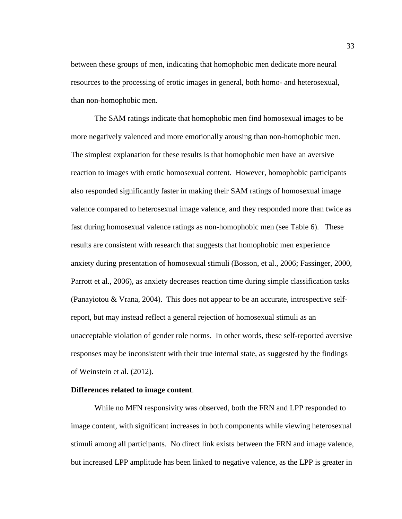between these groups of men, indicating that homophobic men dedicate more neural resources to the processing of erotic images in general, both homo- and heterosexual, than non-homophobic men.

The SAM ratings indicate that homophobic men find homosexual images to be more negatively valenced and more emotionally arousing than non-homophobic men. The simplest explanation for these results is that homophobic men have an aversive reaction to images with erotic homosexual content. However, homophobic participants also responded significantly faster in making their SAM ratings of homosexual image valence compared to heterosexual image valence, and they responded more than twice as fast during homosexual valence ratings as non-homophobic men (see Table 6). These results are consistent with research that suggests that homophobic men experience anxiety during presentation of homosexual stimuli (Bosson, et al., 2006; Fassinger, 2000, Parrott et al., 2006), as anxiety decreases reaction time during simple classification tasks (Panayiotou & Vrana, 2004). This does not appear to be an accurate, introspective selfreport, but may instead reflect a general rejection of homosexual stimuli as an unacceptable violation of gender role norms. In other words, these self-reported aversive responses may be inconsistent with their true internal state, as suggested by the findings of Weinstein et al. (2012).

## **Differences related to image content**.

While no MFN responsivity was observed, both the FRN and LPP responded to image content, with significant increases in both components while viewing heterosexual stimuli among all participants. No direct link exists between the FRN and image valence, but increased LPP amplitude has been linked to negative valence, as the LPP is greater in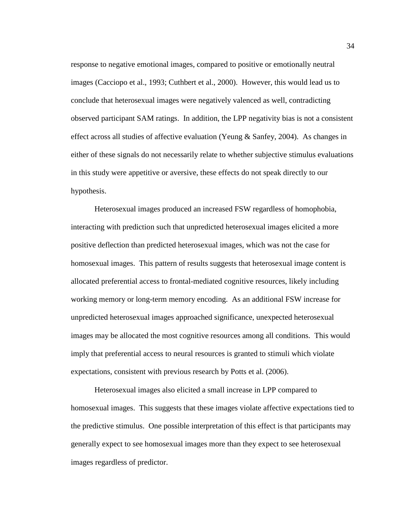response to negative emotional images, compared to positive or emotionally neutral images (Cacciopo et al., 1993; Cuthbert et al., 2000). However, this would lead us to conclude that heterosexual images were negatively valenced as well, contradicting observed participant SAM ratings. In addition, the LPP negativity bias is not a consistent effect across all studies of affective evaluation (Yeung & Sanfey, 2004). As changes in either of these signals do not necessarily relate to whether subjective stimulus evaluations in this study were appetitive or aversive, these effects do not speak directly to our hypothesis.

Heterosexual images produced an increased FSW regardless of homophobia, interacting with prediction such that unpredicted heterosexual images elicited a more positive deflection than predicted heterosexual images, which was not the case for homosexual images. This pattern of results suggests that heterosexual image content is allocated preferential access to frontal-mediated cognitive resources, likely including working memory or long-term memory encoding. As an additional FSW increase for unpredicted heterosexual images approached significance, unexpected heterosexual images may be allocated the most cognitive resources among all conditions. This would imply that preferential access to neural resources is granted to stimuli which violate expectations, consistent with previous research by Potts et al. (2006).

Heterosexual images also elicited a small increase in LPP compared to homosexual images. This suggests that these images violate affective expectations tied to the predictive stimulus. One possible interpretation of this effect is that participants may generally expect to see homosexual images more than they expect to see heterosexual images regardless of predictor.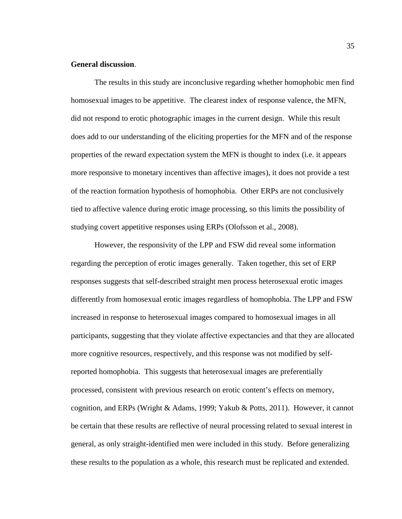## **General discussion**.

The results in this study are inconclusive regarding whether homophobic men find homosexual images to be appetitive. The clearest index of response valence, the MFN, did not respond to erotic photographic images in the current design. While this result does add to our understanding of the eliciting properties for the MFN and of the response properties of the reward expectation system the MFN is thought to index (i.e. it appears more responsive to monetary incentives than affective images), it does not provide a test of the reaction formation hypothesis of homophobia. Other ERPs are not conclusively tied to affective valence during erotic image processing, so this limits the possibility of studying covert appetitive responses using ERPs (Olofsson et al., 2008).

However, the responsivity of the LPP and FSW did reveal some information regarding the perception of erotic images generally. Taken together, this set of ERP responses suggests that self-described straight men process heterosexual erotic images differently from homosexual erotic images regardless of homophobia. The LPP and FSW increased in response to heterosexual images compared to homosexual images in all participants, suggesting that they violate affective expectancies and that they are allocated more cognitive resources, respectively, and this response was not modified by selfreported homophobia. This suggests that heterosexual images are preferentially processed, consistent with previous research on erotic content's effects on memory, cognition, and ERPs (Wright & Adams, 1999; Yakub & Potts, 2011). However, it cannot be certain that these results are reflective of neural processing related to sexual interest in general, as only straight-identified men were included in this study. Before generalizing these results to the population as a whole, this research must be replicated and extended.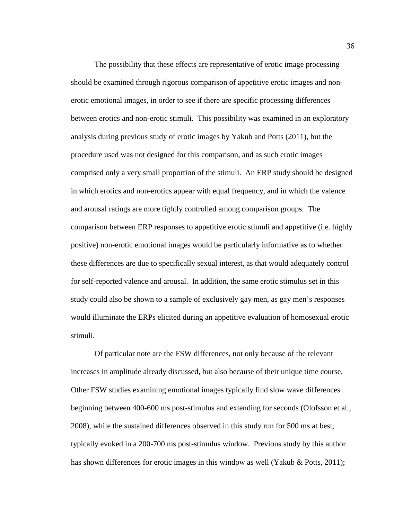The possibility that these effects are representative of erotic image processing should be examined through rigorous comparison of appetitive erotic images and nonerotic emotional images, in order to see if there are specific processing differences between erotics and non-erotic stimuli. This possibility was examined in an exploratory analysis during previous study of erotic images by Yakub and Potts (2011), but the procedure used was not designed for this comparison, and as such erotic images comprised only a very small proportion of the stimuli. An ERP study should be designed in which erotics and non-erotics appear with equal frequency, and in which the valence and arousal ratings are more tightly controlled among comparison groups. The comparison between ERP responses to appetitive erotic stimuli and appetitive (i.e. highly positive) non-erotic emotional images would be particularly informative as to whether these differences are due to specifically sexual interest, as that would adequately control for self-reported valence and arousal. In addition, the same erotic stimulus set in this study could also be shown to a sample of exclusively gay men, as gay men's responses would illuminate the ERPs elicited during an appetitive evaluation of homosexual erotic stimuli.

Of particular note are the FSW differences, not only because of the relevant increases in amplitude already discussed, but also because of their unique time course. Other FSW studies examining emotional images typically find slow wave differences beginning between 400-600 ms post-stimulus and extending for seconds (Olofsson et al., 2008), while the sustained differences observed in this study run for 500 ms at best, typically evoked in a 200-700 ms post-stimulus window. Previous study by this author has shown differences for erotic images in this window as well (Yakub & Potts, 2011);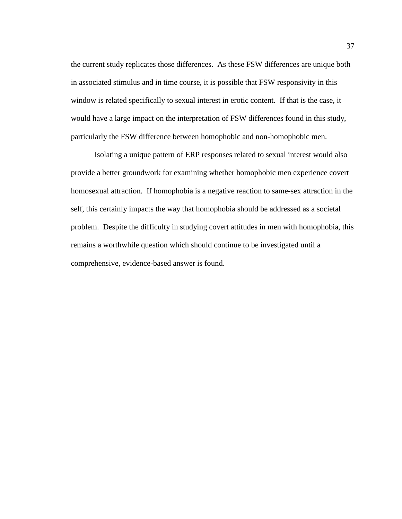the current study replicates those differences. As these FSW differences are unique both in associated stimulus and in time course, it is possible that FSW responsivity in this window is related specifically to sexual interest in erotic content. If that is the case, it would have a large impact on the interpretation of FSW differences found in this study, particularly the FSW difference between homophobic and non-homophobic men.

Isolating a unique pattern of ERP responses related to sexual interest would also provide a better groundwork for examining whether homophobic men experience covert homosexual attraction. If homophobia is a negative reaction to same-sex attraction in the self, this certainly impacts the way that homophobia should be addressed as a societal problem. Despite the difficulty in studying covert attitudes in men with homophobia, this remains a worthwhile question which should continue to be investigated until a comprehensive, evidence-based answer is found.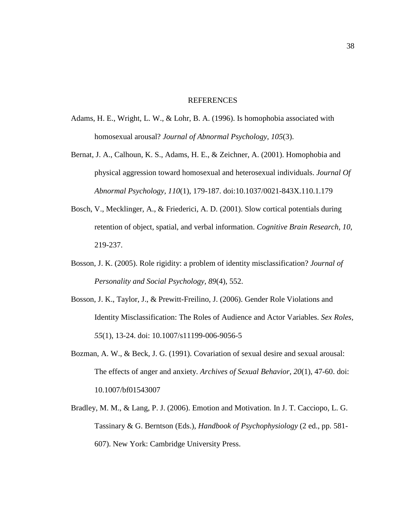#### REFERENCES

- Adams, H. E., Wright, L. W., & Lohr, B. A. (1996). Is homophobia associated with homosexual arousal? *Journal of Abnormal Psychology, 105*(3).
- Bernat, J. A., Calhoun, K. S., Adams, H. E., & Zeichner, A. (2001). Homophobia and physical aggression toward homosexual and heterosexual individuals. *Journal Of Abnormal Psychology, 110*(1), 179-187. doi:10.1037/0021-843X.110.1.179
- Bosch, V., Mecklinger, A., & Friederici, A. D. (2001). Slow cortical potentials during retention of object, spatial, and verbal information. *Cognitive Brain Research, 10*, 219-237.
- Bosson, J. K. (2005). Role rigidity: a problem of identity misclassification? *Journal of Personality and Social Psychology, 89*(4), 552.
- Bosson, J. K., Taylor, J., & Prewitt-Freilino, J. (2006). Gender Role Violations and Identity Misclassification: The Roles of Audience and Actor Variables. *Sex Roles, 55*(1), 13-24. doi: 10.1007/s11199-006-9056-5
- Bozman, A. W., & Beck, J. G. (1991). Covariation of sexual desire and sexual arousal: The effects of anger and anxiety. *Archives of Sexual Behavior, 20*(1), 47-60. doi: 10.1007/bf01543007
- Bradley, M. M., & Lang, P. J. (2006). Emotion and Motivation. In J. T. Cacciopo, L. G. Tassinary & G. Berntson (Eds.), *Handbook of Psychophysiology* (2 ed., pp. 581- 607). New York: Cambridge University Press.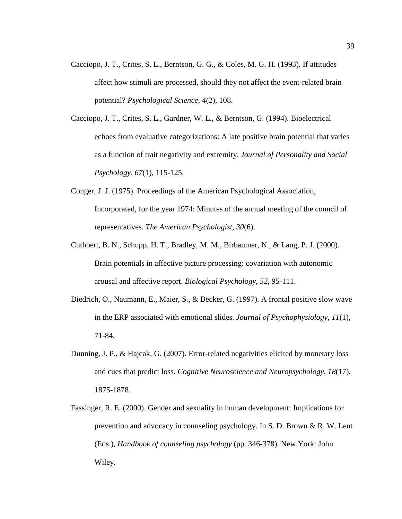- Cacciopo, J. T., Crites, S. L., Berntson, G. G., & Coles, M. G. H. (1993). If attitudes affect how stimuli are processed, should they not affect the event-related brain potential? *Psychological Science, 4*(2), 108.
- Cacciopo, J. T., Crites, S. L., Gardner, W. L., & Berntson, G. (1994). Bioelectrical echoes from evaluative categorizations: A late positive brain potential that varies as a function of trait negativity and extremity. *Journal of Personality and Social Psychology, 67*(1), 115-125.
- Conger, J. J. (1975). Proceedings of the American Psychological Association, Incorporated, for the year 1974: Minutes of the annual meeting of the council of representatives. *The American Psychologist, 30*(6).
- Cuthbert, B. N., Schupp, H. T., Bradley, M. M., Birbaumer, N., & Lang, P. J. (2000). Brain potentials in affective picture processing: covariation with autonomic arousal and affective report. *Biological Psychology, 52*, 95-111.
- Diedrich, O., Naumann, E., Maier, S., & Becker, G. (1997). A frontal positive slow wave in the ERP associated with emotional slides. *Journal of Psychophysiology, 11*(1), 71-84.
- Dunning, J. P., & Hajcak, G. (2007). Error-related negativities elicited by monetary loss and cues that predict loss. *Cognitive Neuroscience and Neuropsychology, 18*(17), 1875-1878.
- Fassinger, R. E. (2000). Gender and sexuality in human development: Implications for prevention and advocacy in counseling psychology. In S. D. Brown & R. W. Lent (Eds.), *Handbook of counseling psychology* (pp. 346-378). New York: John Wiley.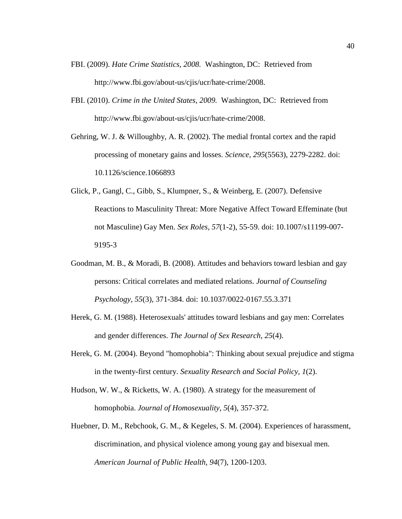- FBI. (2009). *Hate Crime Statistics, 2008.* Washington, DC: Retrieved from http://www.fbi.gov/about-us/cjis/ucr/hate-crime/2008.
- FBI. (2010). *Crime in the United States, 2009.* Washington, DC: Retrieved from http://www.fbi.gov/about-us/cjis/ucr/hate-crime/2008.
- Gehring, W. J. & Willoughby, A. R. (2002). The medial frontal cortex and the rapid processing of monetary gains and losses. *Science, 295*(5563), 2279-2282. doi: 10.1126/science.1066893
- Glick, P., Gangl, C., Gibb, S., Klumpner, S., & Weinberg, E. (2007). Defensive Reactions to Masculinity Threat: More Negative Affect Toward Effeminate (but not Masculine) Gay Men. *Sex Roles, 57*(1-2), 55-59. doi: 10.1007/s11199-007- 9195-3
- Goodman, M. B., & Moradi, B. (2008). Attitudes and behaviors toward lesbian and gay persons: Critical correlates and mediated relations. *Journal of Counseling Psychology, 55*(3), 371-384. doi: 10.1037/0022-0167.55.3.371
- Herek, G. M. (1988). Heterosexuals' attitudes toward lesbians and gay men: Correlates and gender differences. *The Journal of Sex Research, 25*(4).
- Herek, G. M. (2004). Beyond "homophobia": Thinking about sexual prejudice and stigma in the twenty-first century. *Sexuality Research and Social Policy, 1*(2).
- Hudson, W. W., & Ricketts, W. A. (1980). A strategy for the measurement of homophobia. *Journal of Homosexuality, 5*(4), 357-372.
- Huebner, D. M., Rebchook, G. M., & Kegeles, S. M. (2004). Experiences of harassment, discrimination, and physical violence among young gay and bisexual men. *American Journal of Public Health, 94*(7), 1200-1203.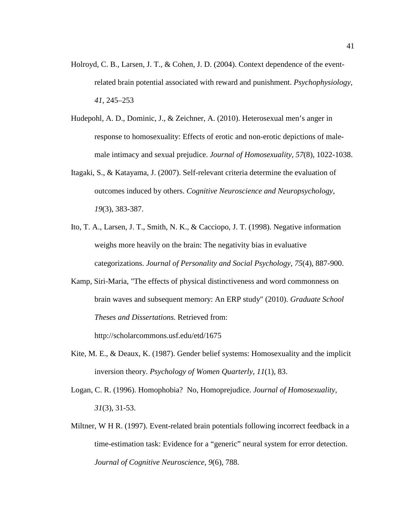- Holroyd, C. B., Larsen, J. T., & Cohen, J. D. (2004). Context dependence of the eventrelated brain potential associated with reward and punishment. *Psychophysiology, 41*, 245–253
- Hudepohl, A. D., Dominic, J., & Zeichner, A. (2010). Heterosexual men's anger in response to homosexuality: Effects of erotic and non-erotic depictions of malemale intimacy and sexual prejudice. *Journal of Homosexuality, 57*(8), 1022-1038.
- Itagaki, S., & Katayama, J. (2007). Self-relevant criteria determine the evaluation of outcomes induced by others. *Cognitive Neuroscience and Neuropsychology, 19*(3), 383-387.
- Ito, T. A., Larsen, J. T., Smith, N. K., & Cacciopo, J. T. (1998). Negative information weighs more heavily on the brain: The negativity bias in evaluative categorizations. *Journal of Personality and Social Psychology, 75*(4), 887-900.
- Kamp, Siri-Maria, "The effects of physical distinctiveness and word commonness on brain waves and subsequent memory: An ERP study" (2010). *Graduate School Theses and Dissertations.* Retrieved from:

http://scholarcommons.usf.edu/etd/1675

- Kite, M. E., & Deaux, K. (1987). Gender belief systems: Homosexuality and the implicit inversion theory. *Psychology of Women Quarterly, 11*(1), 83.
- Logan, C. R. (1996). Homophobia? No, Homoprejudice. *Journal of Homosexuality, 31*(3), 31-53.
- Miltner, W H R. (1997). Event-related brain potentials following incorrect feedback in a time-estimation task: Evidence for a "generic" neural system for error detection. *Journal of Cognitive Neuroscience, 9*(6), 788.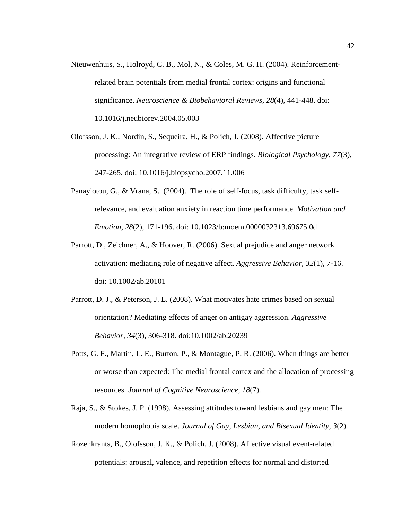- Nieuwenhuis, S., Holroyd, C. B., Mol, N., & Coles, M. G. H. (2004). Reinforcementrelated brain potentials from medial frontal cortex: origins and functional significance. *Neuroscience & Biobehavioral Reviews, 28*(4), 441-448. doi: 10.1016/j.neubiorev.2004.05.003
- Olofsson, J. K., Nordin, S., Sequeira, H., & Polich, J. (2008). Affective picture processing: An integrative review of ERP findings. *Biological Psychology, 77*(3), 247-265. doi: 10.1016/j.biopsycho.2007.11.006
- Panayiotou, G., & Vrana, S. (2004). The role of self-focus, task difficulty, task selfrelevance, and evaluation anxiety in reaction time performance. *Motivation and Emotion, 28*(2), 171-196. doi: 10.1023/b:moem.0000032313.69675.0d
- Parrott, D., Zeichner, A., & Hoover, R. (2006). Sexual prejudice and anger network activation: mediating role of negative affect. *Aggressive Behavior, 32*(1), 7-16. doi: 10.1002/ab.20101
- Parrott, D. J., & Peterson, J. L. (2008). What motivates hate crimes based on sexual orientation? Mediating effects of anger on antigay aggression. *Aggressive Behavior, 34*(3), 306-318. doi:10.1002/ab.20239
- Potts, G. F., Martin, L. E., Burton, P., & Montague, P. R. (2006). When things are better or worse than expected: The medial frontal cortex and the allocation of processing resources. *Journal of Cognitive Neuroscience, 18*(7).
- Raja, S., & Stokes, J. P. (1998). Assessing attitudes toward lesbians and gay men: The modern homophobia scale. *Journal of Gay, Lesbian, and Bisexual Identity, 3*(2).
- Rozenkrants, B., Olofsson, J. K., & Polich, J. (2008). Affective visual event-related potentials: arousal, valence, and repetition effects for normal and distorted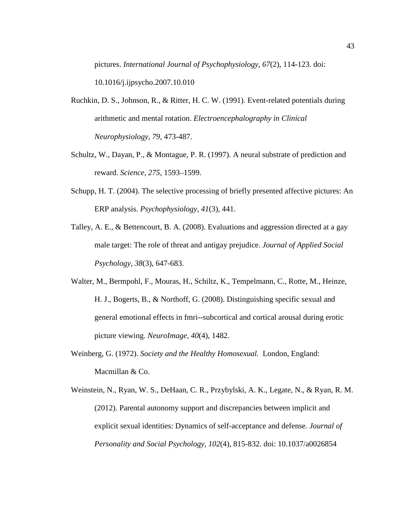pictures. *International Journal of Psychophysiology, 67*(2), 114-123. doi: 10.1016/j.ijpsycho.2007.10.010

- Ruchkin, D. S., Johnson, R., & Ritter, H. C. W. (1991). Event-related potentials during arithmetic and mental rotation. *Electroencephalography in Clinical Neurophysiology, 79*, 473-487.
- Schultz, W., Dayan, P., & Montague, P. R. (1997). A neural substrate of prediction and reward. *Science, 275*, 1593–1599.
- Schupp, H. T. (2004). The selective processing of briefly presented affective pictures: An ERP analysis. *Psychophysiology, 41*(3), 441.
- Talley, A. E., & Bettencourt, B. A. (2008). Evaluations and aggression directed at a gay male target: The role of threat and antigay prejudice. *Journal of Applied Social Psychology, 38*(3), 647-683.
- Walter, M., Bermpohl, F., Mouras, H., Schiltz, K., Tempelmann, C., Rotte, M., Heinze, H. J., Bogerts, B., & Northoff, G. (2008). Distinguishing specific sexual and general emotional effects in fmri--subcortical and cortical arousal during erotic picture viewing. *NeuroImage, 40*(4), 1482.
- Weinberg, G. (1972). *Society and the Healthy Homosexual.* London, England: Macmillan & Co.
- Weinstein, N., Ryan, W. S., DeHaan, C. R., Przybylski, A. K., Legate, N., & Ryan, R. M. (2012). Parental autonomy support and discrepancies between implicit and explicit sexual identities: Dynamics of self-acceptance and defense. *Journal of Personality and Social Psychology, 102*(4), 815-832. doi: 10.1037/a0026854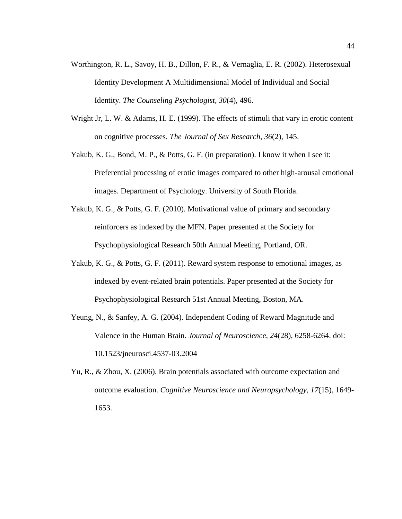- Worthington, R. L., Savoy, H. B., Dillon, F. R., & Vernaglia, E. R. (2002). Heterosexual Identity Development A Multidimensional Model of Individual and Social Identity. *The Counseling Psychologist, 30*(4), 496.
- Wright Jr, L. W. & Adams, H. E. (1999). The effects of stimuli that vary in erotic content on cognitive processes. *The Journal of Sex Research, 36*(2), 145.
- Yakub, K. G., Bond, M. P., & Potts, G. F. (in preparation). I know it when I see it: Preferential processing of erotic images compared to other high-arousal emotional images. Department of Psychology. University of South Florida.
- Yakub, K. G., & Potts, G. F. (2010). Motivational value of primary and secondary reinforcers as indexed by the MFN. Paper presented at the Society for Psychophysiological Research 50th Annual Meeting, Portland, OR.
- Yakub, K. G., & Potts, G. F. (2011). Reward system response to emotional images, as indexed by event-related brain potentials. Paper presented at the Society for Psychophysiological Research 51st Annual Meeting, Boston, MA.
- Yeung, N., & Sanfey, A. G. (2004). Independent Coding of Reward Magnitude and Valence in the Human Brain. *Journal of Neuroscience*, *24*(28), 6258-6264. doi: 10.1523/jneurosci.4537-03.2004
- Yu, R., & Zhou, X. (2006). Brain potentials associated with outcome expectation and outcome evaluation. *Cognitive Neuroscience and Neuropsychology, 17*(15), 1649- 1653.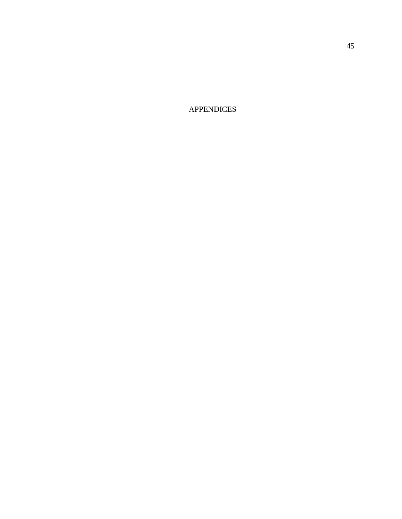APPENDICES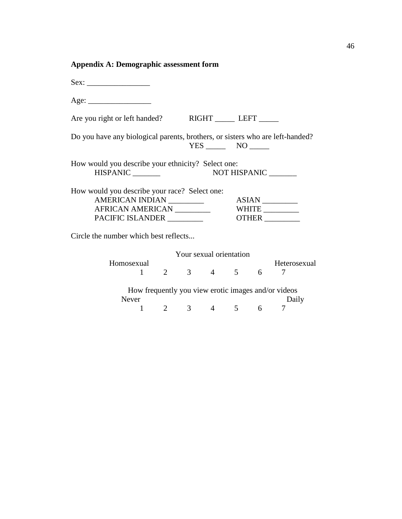# **Appendix A: Demographic assessment form**

| Are you right or left handed? RIGHT ________ LEFT _______                     |                                                     |  |                         |  |  |              |  |  |
|-------------------------------------------------------------------------------|-----------------------------------------------------|--|-------------------------|--|--|--------------|--|--|
| Do you have any biological parents, brothers, or sisters who are left-handed? |                                                     |  | $YES$ NO $\qquad$       |  |  |              |  |  |
| How would you describe your ethnicity? Select one:                            |                                                     |  |                         |  |  |              |  |  |
| How would you describe your race? Select one:                                 |                                                     |  |                         |  |  |              |  |  |
| AMERICAN INDIAN __________                                                    |                                                     |  |                         |  |  | ASIAN        |  |  |
|                                                                               |                                                     |  |                         |  |  |              |  |  |
| PACIFIC ISLANDER _________<br>OTHER                                           |                                                     |  |                         |  |  |              |  |  |
|                                                                               |                                                     |  |                         |  |  |              |  |  |
| Circle the number which best reflects                                         |                                                     |  |                         |  |  |              |  |  |
|                                                                               |                                                     |  | Your sexual orientation |  |  |              |  |  |
| Homosexual                                                                    |                                                     |  |                         |  |  | Heterosexual |  |  |
|                                                                               | ual H<br>1 2 3 4 5 6 H                              |  |                         |  |  | 7            |  |  |
|                                                                               | How frequently you view erotic images and/or videos |  |                         |  |  |              |  |  |
| Never                                                                         |                                                     |  |                         |  |  | Daily        |  |  |

 $\begin{array}{ccccccccc}\nr & & & & & & & & & & \text{Daily} \\
1 & 2 & 3 & 4 & 5 & 6 & 7\n\end{array}$  $\frac{4}{ }$ 

46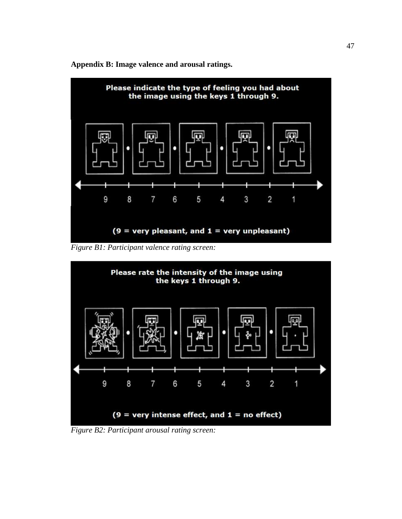**Appendix B: Image valence and arousal ratings.** 



*Figure B1: Participant valence rating screen:* 



*Figure B2: Participant arousal rating screen:*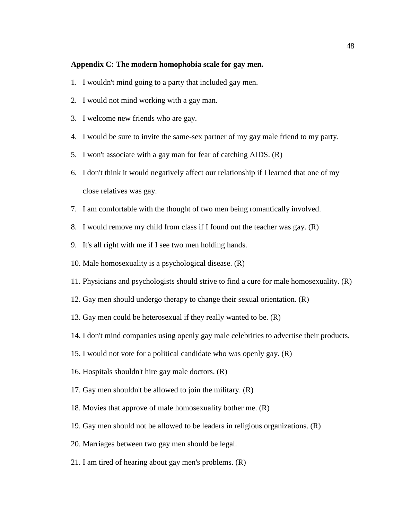#### **Appendix C: The modern homophobia scale for gay men.**

- 1. I wouldn't mind going to a party that included gay men.
- 2. I would not mind working with a gay man.
- 3. I welcome new friends who are gay.
- 4. I would be sure to invite the same-sex partner of my gay male friend to my party.
- 5. I won't associate with a gay man for fear of catching AIDS. (R)
- 6. I don't think it would negatively affect our relationship if I learned that one of my close relatives was gay.
- 7. I am comfortable with the thought of two men being romantically involved.
- 8. I would remove my child from class if I found out the teacher was gay. (R)
- 9. It's all right with me if I see two men holding hands.
- 10. Male homosexuality is a psychological disease. (R)
- 11. Physicians and psychologists should strive to find a cure for male homosexuality. (R)
- 12. Gay men should undergo therapy to change their sexual orientation. (R)
- 13. Gay men could be heterosexual if they really wanted to be. (R)
- 14. I don't mind companies using openly gay male celebrities to advertise their products.
- 15. I would not vote for a political candidate who was openly gay. (R)
- 16. Hospitals shouldn't hire gay male doctors. (R)
- 17. Gay men shouldn't be allowed to join the military. (R)
- 18. Movies that approve of male homosexuality bother me. (R)
- 19. Gay men should not be allowed to be leaders in religious organizations. (R)
- 20. Marriages between two gay men should be legal.
- 21. I am tired of hearing about gay men's problems. (R)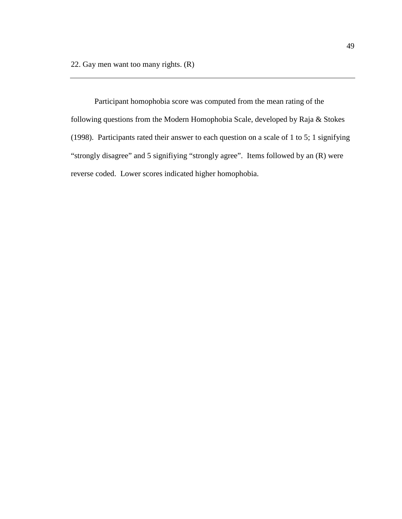Participant homophobia score was computed from the mean rating of the following questions from the Modern Homophobia Scale, developed by Raja & Stokes (1998). Participants rated their answer to each question on a scale of 1 to 5; 1 signifying "strongly disagree" and 5 signifiying "strongly agree". Items followed by an (R) were reverse coded. Lower scores indicated higher homophobia.